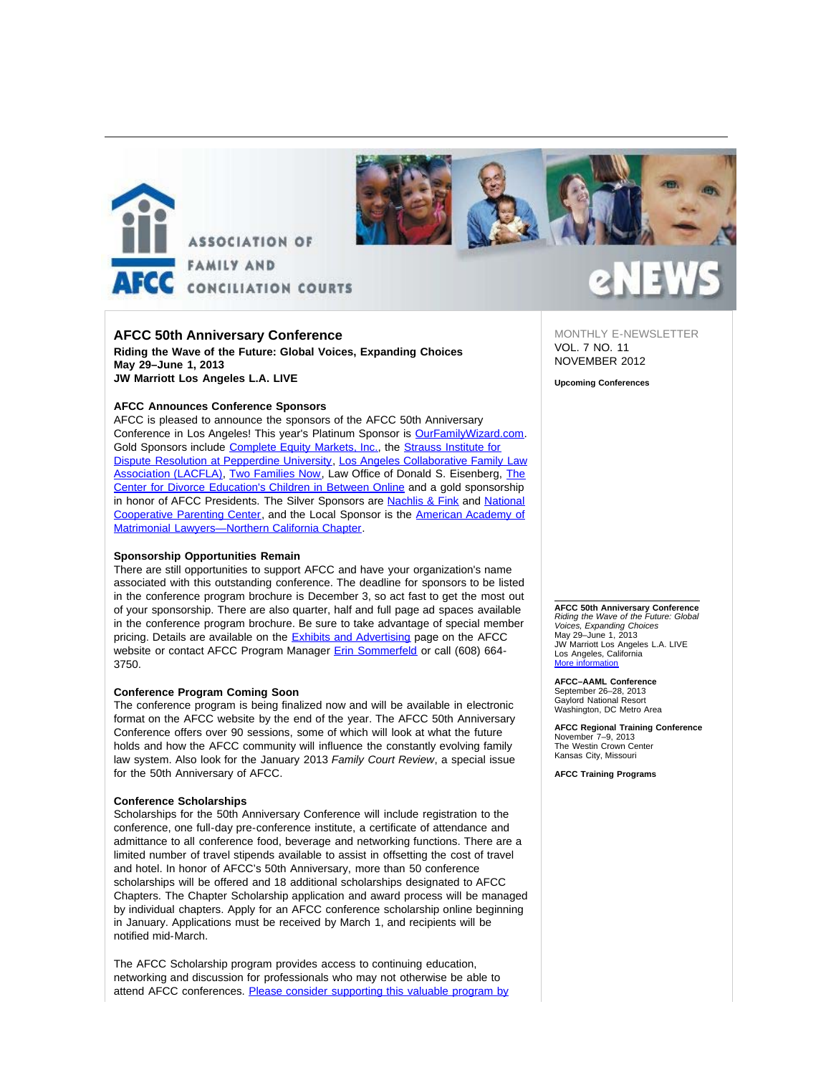



### **AFCC 50th Anniversary Conference**

**Riding the Wave of the Future: Global Voices, Expanding Choices May 29–June 1, 2013 JW Marriott Los Angeles L.A. LIVE** 

#### **AFCC Announces Conference Sponsors**

AFCC is pleased to announce the sponsors of the AFCC 50th Anniversary Conference in Los Angeles! This year's Platinum Sponsor is **[OurFamilyWizard.com](http://afcc.networkats.com/members_online/utilities/emailct.asp?26754bf4b3625a89d9e29ff5495c60741583b11a)**. Gold Sponsors include [Complete Equity Markets, Inc.,](http://afcc.networkats.com/members_online/utilities/emailct.asp?d173245e84b1457350983bb75b1d60ef45a91a77) the [Strauss Institute for](http://afcc.networkats.com/members_online/utilities/emailct.asp?b3693a833ec7ecf8fc3c12f1fc981a24e4e54e55) [Dispute Resolution at Pepperdine University](http://afcc.networkats.com/members_online/utilities/emailct.asp?b3693a833ec7ecf8fc3c12f1fc981a24e4e54e55), [Los Angeles Collaborative Family Law](http://afcc.networkats.com/members_online/utilities/emailct.asp?b1fcffe2e889f79521ade8f35a07d1af3dc24441) [Association \(LACFLA\)](http://afcc.networkats.com/members_online/utilities/emailct.asp?b1fcffe2e889f79521ade8f35a07d1af3dc24441), [Two Families Now,](http://afcc.networkats.com/members_online/utilities/emailct.asp?3d373acdff0dfa116c108230a86119a4f9dfe7c7) Law Office of Donald S. Eisenberg, [The](http://afcc.networkats.com/members_online/utilities/emailct.asp?dec4a6a3e25acc399368e0924d230c6e28b9b17a) [Center for Divorce Education's Children in Between Online](http://afcc.networkats.com/members_online/utilities/emailct.asp?dec4a6a3e25acc399368e0924d230c6e28b9b17a) and a gold sponsorship in honor of AFCC Presidents. The Silver Sponsors are **Nachlis & Fink** and [National](http://afcc.networkats.com/members_online/utilities/emailct.asp?f46d0b66877e1a583a53b2aebdf259db2d97b819) [Cooperative Parenting Center,](http://afcc.networkats.com/members_online/utilities/emailct.asp?f46d0b66877e1a583a53b2aebdf259db2d97b819) and the Local Sponsor is the [American Academy of](http://afcc.networkats.com/members_online/utilities/emailct.asp?7a54625ee37347c0863f9a0de2044c0c690feb61) [Matrimonial Lawyers—Northern California Chapter.](http://afcc.networkats.com/members_online/utilities/emailct.asp?7a54625ee37347c0863f9a0de2044c0c690feb61)

#### **Sponsorship Opportunities Remain**

There are still opportunities to support AFCC and have your organization's name associated with this outstanding conference. The deadline for sponsors to be listed in the conference program brochure is December 3, so act fast to get the most out of your sponsorship. There are also quarter, half and full page ad spaces available in the conference program brochure. Be sure to take advantage of special member pricing. Details are available on the **[Exhibits and Advertising](http://afcc.networkats.com/members_online/utilities/emailct.asp?2015847d166462b9ae62e075f49d1fcad549196d) page on the AFCC** website or contact AFCC Program Manager **Erin Sommerfeld** or call (608) 664-3750.

#### **Conference Program Coming Soon**

The conference program is being finalized now and will be available in electronic format on the AFCC website by the end of the year. The AFCC 50th Anniversary Conference offers over 90 sessions, some of which will look at what the future holds and how the AFCC community will influence the constantly evolving family law system. Also look for the January 2013 *Family Court Review*, a special issue for the 50th Anniversary of AFCC.

#### **Conference Scholarships**

Scholarships for the 50th Anniversary Conference will include registration to the conference, one full-day pre-conference institute, a certificate of attendance and admittance to all conference food, beverage and networking functions. There are a limited number of travel stipends available to assist in offsetting the cost of travel and hotel. In honor of AFCC's 50th Anniversary, more than 50 conference scholarships will be offered and 18 additional scholarships designated to AFCC Chapters. The Chapter Scholarship application and award process will be managed by individual chapters. Apply for an AFCC conference scholarship online beginning in January. Applications must be received by March 1, and recipients will be notified mid-March.

The AFCC Scholarship program provides access to continuing education, networking and discussion for professionals who may not otherwise be able to attend AFCC conferences. [Please consider supporting this valuable program by](http://afcc.networkats.com/members_online/utilities/emailct.asp?8dd126ab50e3c16af81b60a8eb3f4c714489b647) MONTHLY E-NEWSLETTER VOL. 7 NO. 11 NOVEMBER 2012

**Upcoming Conferences**

**AFCC 50th Anniversary Conference** *Riding the Wave of the Future: Global Voices, Expanding Choices* May 29–June 1, 2013 JW Marriott Los Angeles L.A. LIVE Los Angeles, California More informa

**AFCC–AAML Conference** September 26–28, 2013 Gaylord National Resort Washington, DC Metro Area

**AFCC Regional Training Conference** November 7–9, 2013 The Westin Crown Center Kansas City, Missouri

**AFCC Training Programs**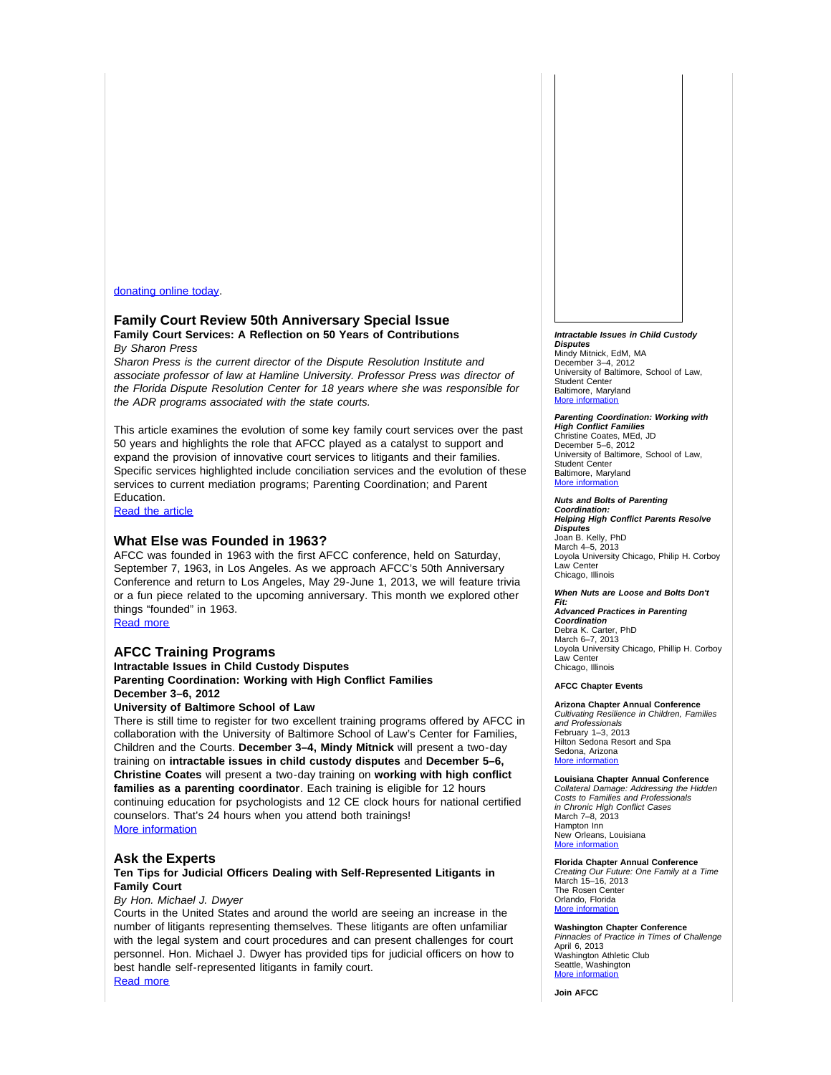#### [donating online today.](http://afcc.networkats.com/members_online/utilities/emailct.asp?8dd126ab50e3c16af81b60a8eb3f4c714489b647)

# **Family Court Review 50th Anniversary Special Issue**

**Family Court Services: A Reflection on 50 Years of Contributions** *By Sharon Press*

*Sharon Press is the current director of the Dispute Resolution Institute and associate professor of law at Hamline University. Professor Press was director of the Florida Dispute Resolution Center for 18 years where she was responsible for the ADR programs associated with the state courts.* 

This article examines the evolution of some key family court services over the past 50 years and highlights the role that AFCC played as a catalyst to support and expand the provision of innovative court services to litigants and their families. Specific services highlighted include conciliation services and the evolution of these services to current mediation programs; Parenting Coordination; and Parent Education.

[Read the article](http://afcc.networkats.com/members_online/utilities/emailct.asp?a19ace37c84bf43e284c16df63531b094de4d271)

#### **What Else was Founded in 1963?**

AFCC was founded in 1963 with the first AFCC conference, held on Saturday, September 7, 1963, in Los Angeles. As we approach AFCC's 50th Anniversary Conference and return to Los Angeles, May 29-June 1, 2013, we will feature trivia or a fun piece related to the upcoming anniversary. This month we explored other things "founded" in 1963.

[Read more](http://afcc.networkats.com/members_online/utilities/emailct.asp?8d43e773f29a2a24b4c48e9cb49efd02f29d5f5c)

#### **AFCC Training Programs**

**Intractable Issues in Child Custody Disputes Parenting Coordination: Working with High Conflict Families December 3–6, 2012**

#### **University of Baltimore School of Law**

There is still time to register for two excellent training programs offered by AFCC in collaboration with the University of Baltimore School of Law's Center for Families, Children and the Courts. **December 3–4, Mindy Mitnick** will present a two-day training on **intractable issues in child custody disputes** and **December 5–6, Christine Coates** will present a two-day training on **working with high conflict families as a parenting coordinator**. Each training is eligible for 12 hours continuing education for psychologists and 12 CE clock hours for national certified counselors. That's 24 hours when you attend both trainings! [More information](http://afcc.networkats.com/members_online/utilities/emailct.asp?fef8bfd093f068c68a88fe0a90e9278561f5d982)

#### **Ask the Experts**

#### **Ten Tips for Judicial Officers Dealing with Self-Represented Litigants in Family Court**

#### *By Hon. Michael J. Dwyer*

Courts in the United States and around the world are seeing an increase in the number of litigants representing themselves. These litigants are often unfamiliar with the legal system and court procedures and can present challenges for court personnel. Hon. Michael J. Dwyer has provided tips for judicial officers on how to best handle self-represented litigants in family court. [Read more](http://afcc.networkats.com/members_online/utilities/emailct.asp?579239e3bd45093bf7d548b8ffa93194fd5f6c81)

*Intractable Issues in Child Custody Disputes* Mindy Mitnick, EdM, MA December 3–4, 2012 University of Baltimore, School of Law, Student Center Baltimore, Maryland More info

*Parenting Coordination: Working with High Conflict Families* Christine Coates, MEd, JD December 5–6, 2012 University of Baltimore, School of Law, Student Center Baltimore, Maryland [More information](http://afcc.networkats.com/members_online/utilities/emailct.asp?fef8bfd093f068c68a88fe0a90e9278561f5d982)

*Nuts and Bolts of Parenting Coordination: Helping High Conflict Parents Resolve Disputes* Joan B. Kelly, PhD March 4–5, 2013 Loyola University Chicago, Philip H. Corboy Law Center Chicago, Illinois

#### *When Nuts are Loose and Bolts Don't*

*Fit: Advanced Practices in Parenting Coordination* Debra K. Carter, PhD March 6–7, 2013 Loyola University Chicago, Phillip H. Corboy Law Center Chicago, Illinois

#### **AFCC Chapter Events**

**Arizona Chapter Annual Conference** *Cultivating Resilience in Children, Families and Professionals* February 1–3, 2013 Hilton Sedona Resort and Spa Sedona, Arizona [More information](http://afcc.networkats.com/members_online/utilities/emailct.asp?974e730f1777efcd74cf199e7406dc58df881afa)

**Louisiana Chapter Annual Conference** *Collateral Damage: Addressing the Hidden Costs to Families and Professionals in Chronic High Conflict Cases* March 7–8, 2013 Hampton Inn

New Orleans, Louisiana [More information](http://afcc.networkats.com/members_online/utilities/emailct.asp?c361c3c808f5ead505a8ab1e836e5c75fd3dc18c)

#### **Florida Chapter Annual Conference**

*Creating Our Future: One Family at a Time* March 15–16, 2013 The Rosen Center Orlando, Florida [More information](http://afcc.networkats.com/members_online/utilities/emailct.asp?3f6f58d4bcf16455fb9ae157915e3de2bcb19154)

**Washington Chapter Conference** *Pinnacles of Practice in Times of Challenge* April 6, 2013 Washington Athletic Club Seattle, Washington [More information](http://afcc.networkats.com/members_online/utilities/emailct.asp?8f2b87dba42520259a00ae2bbca1faa2c9faa300)

**Join AFCC**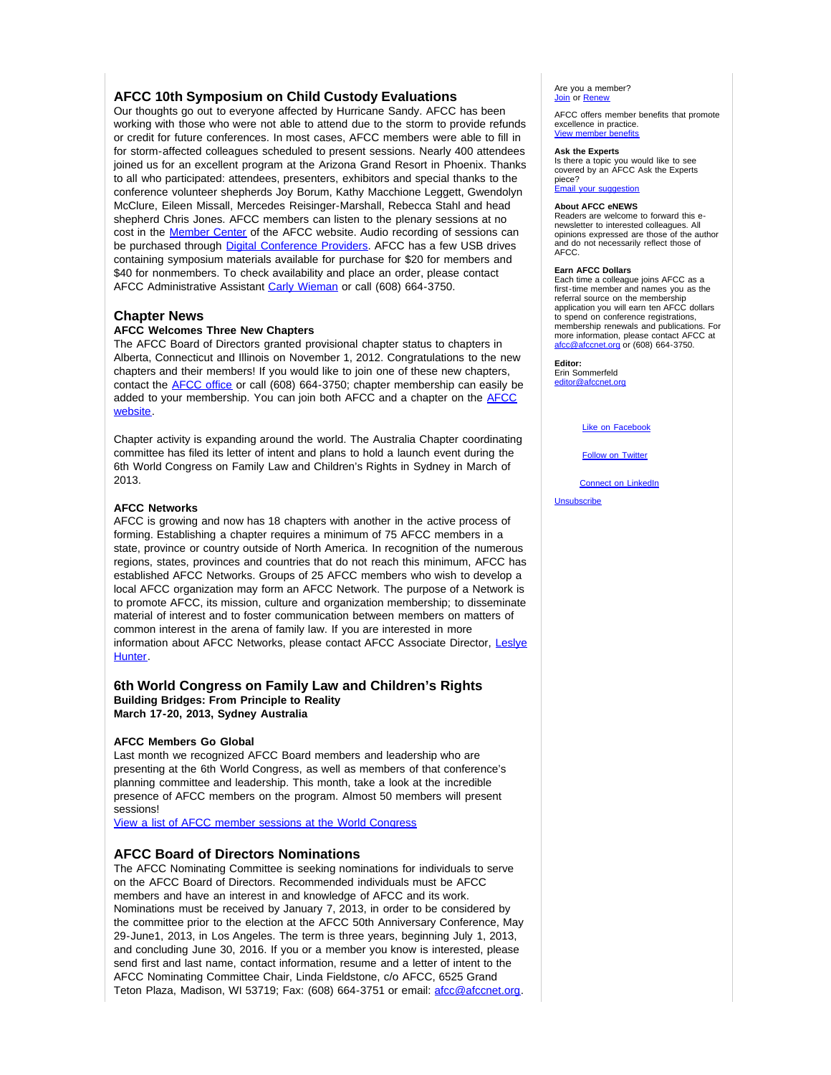## **AFCC 10th Symposium on Child Custody Evaluations**

Our thoughts go out to everyone affected by Hurricane Sandy. AFCC has been working with those who were not able to attend due to the storm to provide refunds or credit for future conferences. In most cases, AFCC members were able to fill in for storm-affected colleagues scheduled to present sessions. Nearly 400 attendees joined us for an excellent program at the Arizona Grand Resort in Phoenix. Thanks to all who participated: attendees, presenters, exhibitors and special thanks to the conference volunteer shepherds Joy Borum, Kathy Macchione Leggett, Gwendolyn McClure, Eileen Missall, Mercedes Reisinger-Marshall, Rebecca Stahl and head shepherd Chris Jones. AFCC members can listen to the plenary sessions at no cost in the **[Member Center](http://afcc.networkats.com/members_online/utilities/emailct.asp?d3112fcc53dc5361af6dbb8b494f0a1d4ce80c44)** of the AFCC website. Audio recording of sessions can be purchased through [Digital Conference Providers.](http://afcc.networkats.com/members_online/utilities/emailct.asp?129d5bb9fc19dd412a81208bdab36f36896c3153) AFCC has a few USB drives containing symposium materials available for purchase for \$20 for members and \$40 for nonmembers. To check availability and place an order, please contact AFCC Administrative Assistant [Carly Wieman](mailto:cwieman@afccnet.org) or call (608) 664-3750.

### **Chapter News**

#### **AFCC Welcomes Three New Chapters**

The AFCC Board of Directors granted provisional chapter status to chapters in Alberta, Connecticut and Illinois on November 1, 2012. Congratulations to the new chapters and their members! If you would like to join one of these new chapters, contact the [AFCC office](mailto:afcc@afccnet.org) or call (608) 664-3750; chapter membership can easily be added to your membership. You can join both AFCC and a chapter on the [AFCC](http://afcc.networkats.com/members_online/utilities/emailct.asp?ae16709146fbbea2c9c3b68c5a1ff2779820bbd9) [website.](http://afcc.networkats.com/members_online/utilities/emailct.asp?ae16709146fbbea2c9c3b68c5a1ff2779820bbd9)

Chapter activity is expanding around the world. The Australia Chapter coordinating committee has filed its letter of intent and plans to hold a launch event during the 6th World Congress on Family Law and Children's Rights in Sydney in March of 2013.

#### **AFCC Networks**

AFCC is growing and now has 18 chapters with another in the active process of forming. Establishing a chapter requires a minimum of 75 AFCC members in a state, province or country outside of North America. In recognition of the numerous regions, states, provinces and countries that do not reach this minimum, AFCC has established AFCC Networks. Groups of 25 AFCC members who wish to develop a local AFCC organization may form an AFCC Network. The purpose of a Network is to promote AFCC, its mission, culture and organization membership; to disseminate material of interest and to foster communication between members on matters of common interest in the arena of family law. If you are interested in more information about AFCC Networks, please contact AFCC Associate Director, [Leslye](mailto:lhunter@afccnet.org) [Hunter.](mailto:lhunter@afccnet.org)

#### **6th World Congress on Family Law and Children's Rights Building Bridges: From Principle to Reality March 17-20, 2013, Sydney Australia**

#### **AFCC Members Go Global**

Last month we recognized AFCC Board members and leadership who are presenting at the 6th World Congress, as well as members of that conference's planning committee and leadership. This month, take a look at the incredible presence of AFCC members on the program. Almost 50 members will present sessions!

[View a list of AFCC member sessions at the World Congress](http://afcc.networkats.com/members_online/utilities/emailct.asp?651f2f5391fe0275dee8254b89d020d976c714c3)

#### **AFCC Board of Directors Nominations**

The AFCC Nominating Committee is seeking nominations for individuals to serve on the AFCC Board of Directors. Recommended individuals must be AFCC members and have an interest in and knowledge of AFCC and its work. Nominations must be received by January 7, 2013, in order to be considered by the committee prior to the election at the AFCC 50th Anniversary Conference, May 29-June1, 2013, in Los Angeles. The term is three years, beginning July 1, 2013, and concluding June 30, 2016. If you or a member you know is interested, please send first and last name, contact information, resume and a letter of intent to the AFCC Nominating Committee Chair, Linda Fieldstone, c/o AFCC, 6525 Grand Teton Plaza, Madison, WI 53719; Fax: (608) 664-3751 or email: [afcc@afccnet.org](mailto:afcc@afccnet.org). Are you a member? [Join](http://afcc.networkats.com/members_online/utilities/emailct.asp?ee2e9d4dc7d33092a542818199948eda471a9002) or [Renew](http://afcc.networkats.com/members_online/utilities/emailct.asp?051db3fc6d7be68d8a5d1dd72cf85133429844ff)

AFCC offers member benefits that promote excellence in practice. [View member benefits](http://afcc.networkats.com/members_online/utilities/emailct.asp?4263ba214a6f735fdcdd2c045ebe61ac7778adae)

#### **Ask the Experts**

Is there a topic you would like to see covered by an AFCC Ask the Experts piece?

[Email your suggestion](mailto:editor@afccnet.org)

#### **About AFCC eNEWS**

Readers are welcome to forward this enewsletter to interested colleagues. All opinions expressed are those of the author and do not necessarily reflect those of AFCC.

#### **Earn AFCC Dollars**

Each time a colleague joins AFCC as a first-time member and names you as the referral source on the membership application you will earn ten AFCC dollars to spend on conference registrations. membership renewals and publications. For more information, please contact AFCC at<br>[afcc@afccnet.org](mailto:afcc@afccnet.org) or (608) 664-3750.

**Editor:** 

Erin Sommerfeld [editor@afccnet.org](mailto:editor@afccnet.org)

[Like on Facebook](http://afcc.networkats.com/members_online/utilities/emailct.asp?86b10f2ec148fdda0adb20229074fe2baa130a6b)

**[Follow on Twitter](http://afcc.networkats.com/members_online/utilities/emailct.asp?cbe25cee5cecba934d8d8baeeae68fc2339a8236)** 

[Connect on LinkedIn](http://afcc.networkats.com/members_online/utilities/emailct.asp?b3ecb84ea2a1cb69d23c4380ccf723ca1037ff59)

[Unsubscribe](mailto:afcc@afccnet.org)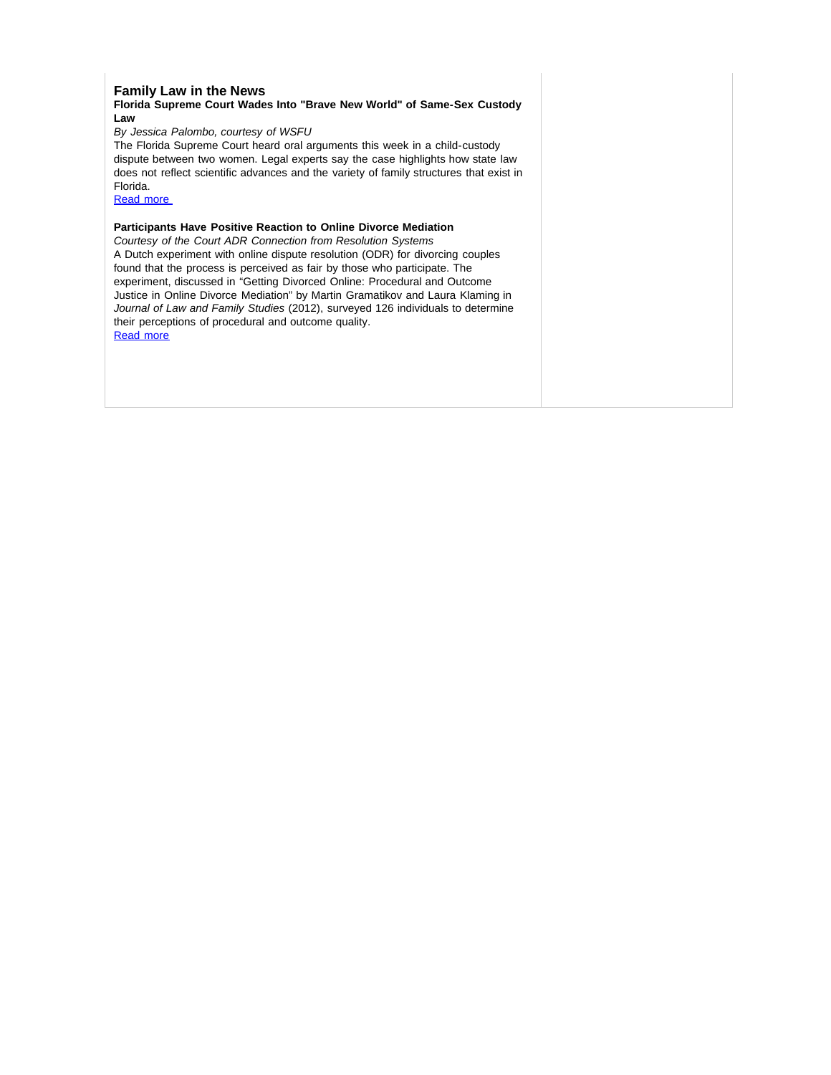### **Family Law in the News**

#### **Florida Supreme Court Wades Into "Brave New World" of Same-Sex Custody Law**

*By Jessica Palombo, courtesy of WSFU*

The Florida Supreme Court heard oral arguments this week in a child-custody dispute between two women. Legal experts say the case highlights how state law does not reflect scientific advances and the variety of family structures that exist in Florida.

[Read more](http://afcc.networkats.com/members_online/utilities/emailct.asp?21d1293f03a974ffc31b20a156d2bf2156371cff) 

### **Participants Have Positive Reaction to Online Divorce Mediation**

*Courtesy of the Court ADR Connection from Resolution Systems* A Dutch experiment with online dispute resolution (ODR) for divorcing couples found that the process is perceived as fair by those who participate. The experiment, discussed in "Getting Divorced Online: Procedural and Outcome Justice in Online Divorce Mediation" by Martin Gramatikov and Laura Klaming in *Journal of Law and Family Studies* (2012), surveyed 126 individuals to determine their perceptions of procedural and outcome quality. [Read more](http://afcc.networkats.com/members_online/utilities/emailct.asp?1c2e29f75ad71f2c669fb7d01e039f20dfe3de73)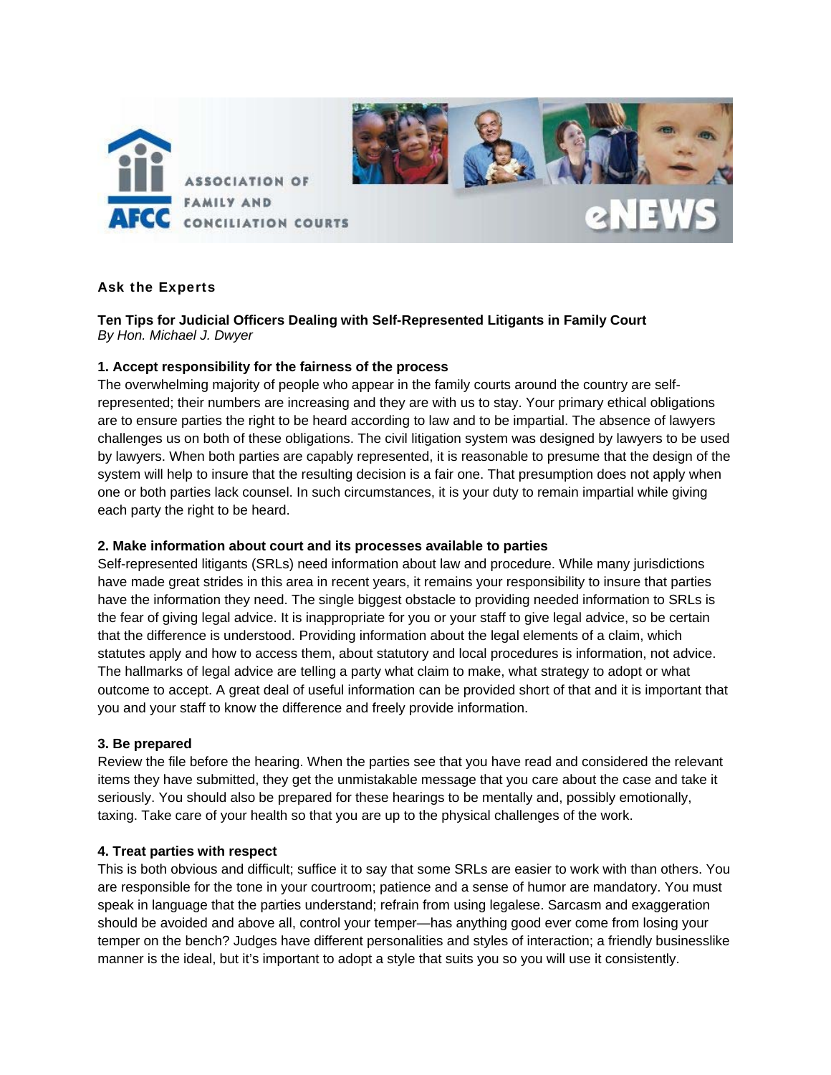

# Ask the Experts

# **Ten Tips for Judicial Officers Dealing with Self-Represented Litigants in Family Court**  *By Hon. Michael J. Dwyer*

# **1. Accept responsibility for the fairness of the process**

The overwhelming majority of people who appear in the family courts around the country are selfrepresented; their numbers are increasing and they are with us to stay. Your primary ethical obligations are to ensure parties the right to be heard according to law and to be impartial. The absence of lawyers challenges us on both of these obligations. The civil litigation system was designed by lawyers to be used by lawyers. When both parties are capably represented, it is reasonable to presume that the design of the system will help to insure that the resulting decision is a fair one. That presumption does not apply when one or both parties lack counsel. In such circumstances, it is your duty to remain impartial while giving each party the right to be heard.

## **2. Make information about court and its processes available to parties**

Self-represented litigants (SRLs) need information about law and procedure. While many jurisdictions have made great strides in this area in recent years, it remains your responsibility to insure that parties have the information they need. The single biggest obstacle to providing needed information to SRLs is the fear of giving legal advice. It is inappropriate for you or your staff to give legal advice, so be certain that the difference is understood. Providing information about the legal elements of a claim, which statutes apply and how to access them, about statutory and local procedures is information, not advice. The hallmarks of legal advice are telling a party what claim to make, what strategy to adopt or what outcome to accept. A great deal of useful information can be provided short of that and it is important that you and your staff to know the difference and freely provide information.

## **3. Be prepared**

Review the file before the hearing. When the parties see that you have read and considered the relevant items they have submitted, they get the unmistakable message that you care about the case and take it seriously. You should also be prepared for these hearings to be mentally and, possibly emotionally, taxing. Take care of your health so that you are up to the physical challenges of the work.

## **4. Treat parties with respect**

This is both obvious and difficult; suffice it to say that some SRLs are easier to work with than others. You are responsible for the tone in your courtroom; patience and a sense of humor are mandatory. You must speak in language that the parties understand; refrain from using legalese. Sarcasm and exaggeration should be avoided and above all, control your temper—has anything good ever come from losing your temper on the bench? Judges have different personalities and styles of interaction; a friendly businesslike manner is the ideal, but it's important to adopt a style that suits you so you will use it consistently.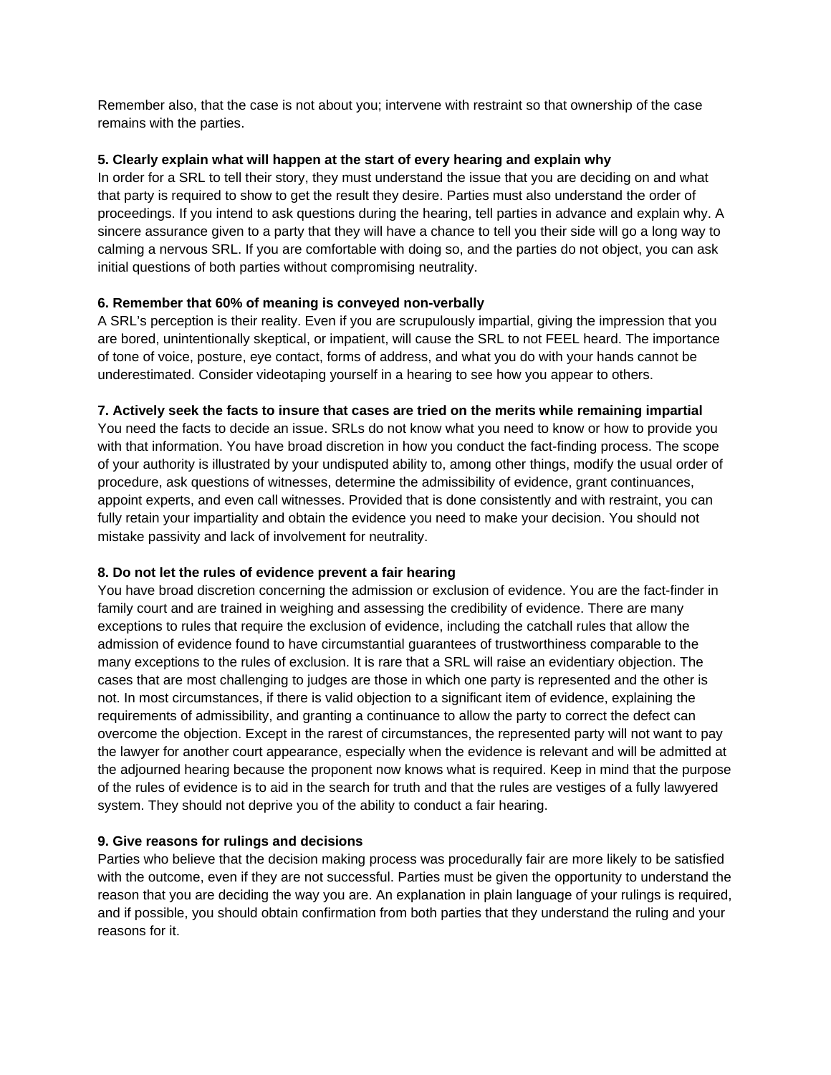Remember also, that the case is not about you; intervene with restraint so that ownership of the case remains with the parties.

# **5. Clearly explain what will happen at the start of every hearing and explain why**

In order for a SRL to tell their story, they must understand the issue that you are deciding on and what that party is required to show to get the result they desire. Parties must also understand the order of proceedings. If you intend to ask questions during the hearing, tell parties in advance and explain why. A sincere assurance given to a party that they will have a chance to tell you their side will go a long way to calming a nervous SRL. If you are comfortable with doing so, and the parties do not object, you can ask initial questions of both parties without compromising neutrality.

# **6. Remember that 60% of meaning is conveyed non-verbally**

A SRL's perception is their reality. Even if you are scrupulously impartial, giving the impression that you are bored, unintentionally skeptical, or impatient, will cause the SRL to not FEEL heard. The importance of tone of voice, posture, eye contact, forms of address, and what you do with your hands cannot be underestimated. Consider videotaping yourself in a hearing to see how you appear to others.

# **7. Actively seek the facts to insure that cases are tried on the merits while remaining impartial**

You need the facts to decide an issue. SRLs do not know what you need to know or how to provide you with that information. You have broad discretion in how you conduct the fact-finding process. The scope of your authority is illustrated by your undisputed ability to, among other things, modify the usual order of procedure, ask questions of witnesses, determine the admissibility of evidence, grant continuances, appoint experts, and even call witnesses. Provided that is done consistently and with restraint, you can fully retain your impartiality and obtain the evidence you need to make your decision. You should not mistake passivity and lack of involvement for neutrality.

# **8. Do not let the rules of evidence prevent a fair hearing**

You have broad discretion concerning the admission or exclusion of evidence. You are the fact-finder in family court and are trained in weighing and assessing the credibility of evidence. There are many exceptions to rules that require the exclusion of evidence, including the catchall rules that allow the admission of evidence found to have circumstantial guarantees of trustworthiness comparable to the many exceptions to the rules of exclusion. It is rare that a SRL will raise an evidentiary objection. The cases that are most challenging to judges are those in which one party is represented and the other is not. In most circumstances, if there is valid objection to a significant item of evidence, explaining the requirements of admissibility, and granting a continuance to allow the party to correct the defect can overcome the objection. Except in the rarest of circumstances, the represented party will not want to pay the lawyer for another court appearance, especially when the evidence is relevant and will be admitted at the adjourned hearing because the proponent now knows what is required. Keep in mind that the purpose of the rules of evidence is to aid in the search for truth and that the rules are vestiges of a fully lawyered system. They should not deprive you of the ability to conduct a fair hearing.

# **9. Give reasons for rulings and decisions**

Parties who believe that the decision making process was procedurally fair are more likely to be satisfied with the outcome, even if they are not successful. Parties must be given the opportunity to understand the reason that you are deciding the way you are. An explanation in plain language of your rulings is required, and if possible, you should obtain confirmation from both parties that they understand the ruling and your reasons for it.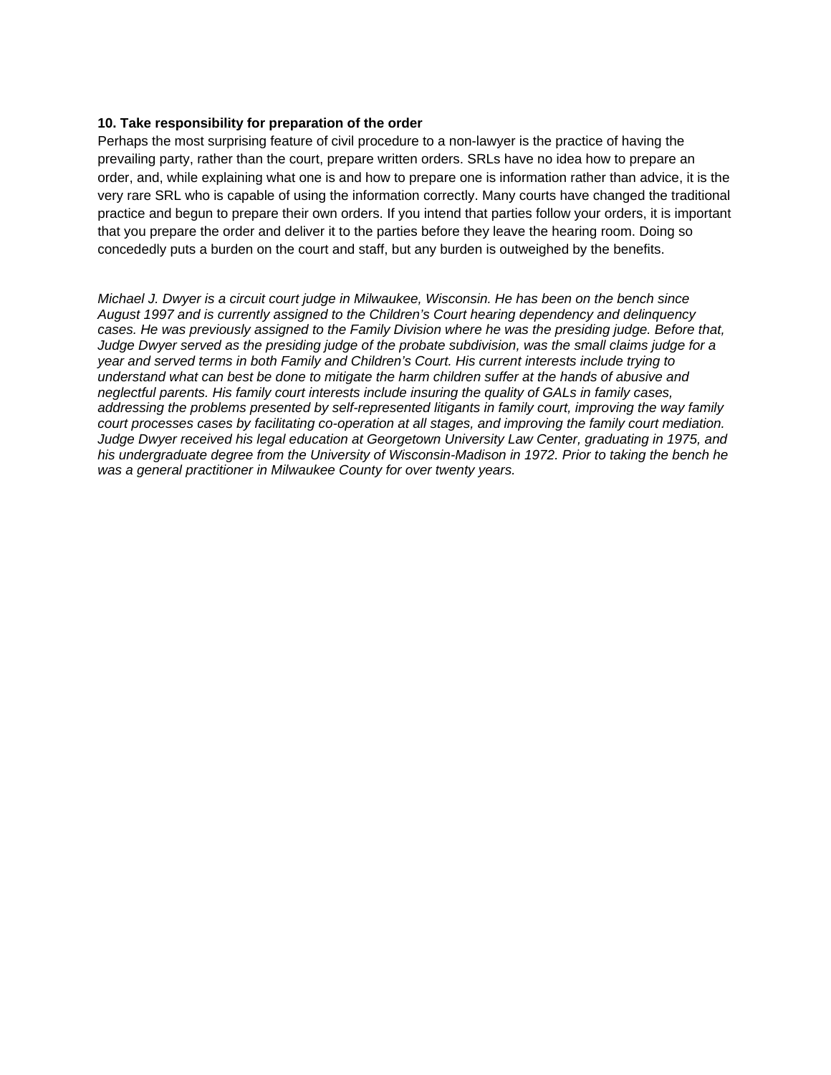## **10. Take responsibility for preparation of the order**

Perhaps the most surprising feature of civil procedure to a non-lawyer is the practice of having the prevailing party, rather than the court, prepare written orders. SRLs have no idea how to prepare an order, and, while explaining what one is and how to prepare one is information rather than advice, it is the very rare SRL who is capable of using the information correctly. Many courts have changed the traditional practice and begun to prepare their own orders. If you intend that parties follow your orders, it is important that you prepare the order and deliver it to the parties before they leave the hearing room. Doing so concededly puts a burden on the court and staff, but any burden is outweighed by the benefits.

*Michael J. Dwyer is a circuit court judge in Milwaukee, Wisconsin. He has been on the bench since August 1997 and is currently assigned to the Children's Court hearing dependency and delinquency cases. He was previously assigned to the Family Division where he was the presiding judge. Before that, Judge Dwyer served as the presiding judge of the probate subdivision, was the small claims judge for a year and served terms in both Family and Children's Court. His current interests include trying to understand what can best be done to mitigate the harm children suffer at the hands of abusive and neglectful parents. His family court interests include insuring the quality of GALs in family cases, addressing the problems presented by self-represented litigants in family court, improving the way family court processes cases by facilitating co-operation at all stages, and improving the family court mediation. Judge Dwyer received his legal education at Georgetown University Law Center, graduating in 1975, and his undergraduate degree from the University of Wisconsin-Madison in 1972. Prior to taking the bench he was a general practitioner in Milwaukee County for over twenty years.*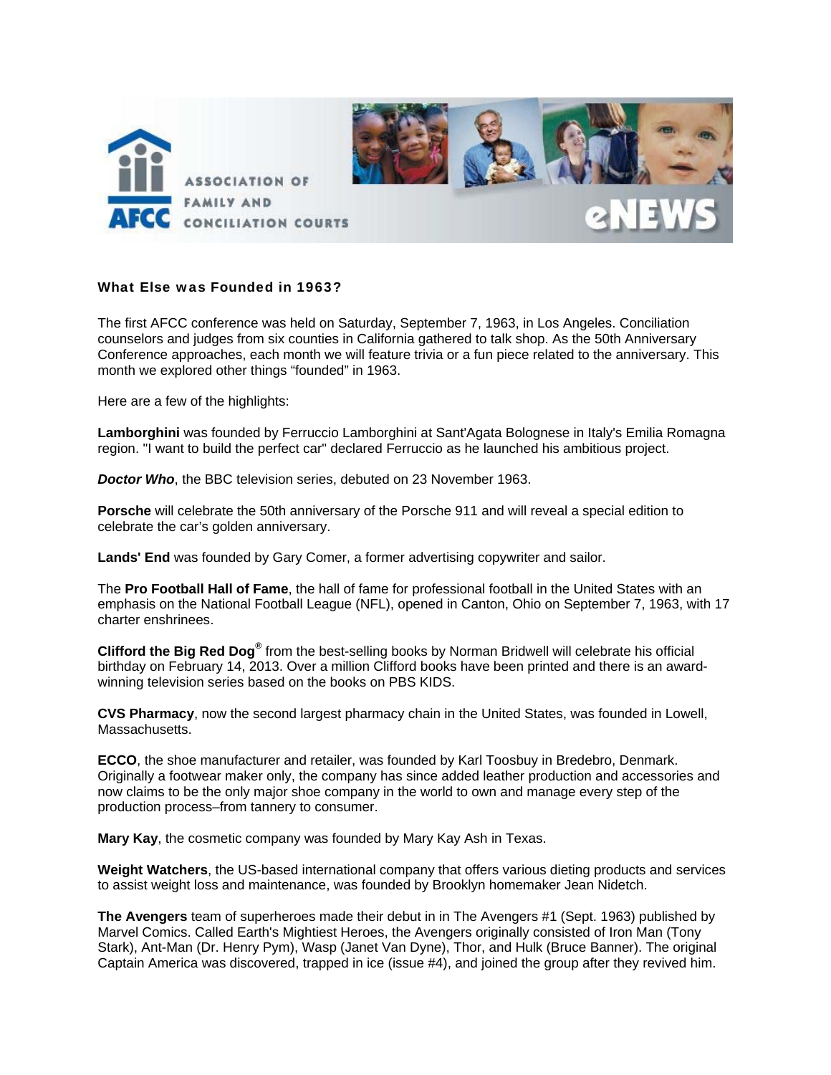

## What Else was Founded in 1963?

The first AFCC conference was held on Saturday, September 7, 1963, in Los Angeles. Conciliation counselors and judges from six counties in California gathered to talk shop. As the 50th Anniversary Conference approaches, each month we will feature trivia or a fun piece related to the anniversary. This month we explored other things "founded" in 1963.

Here are a few of the highlights:

**Lamborghini** was founded by Ferruccio Lamborghini at Sant'Agata Bolognese in Italy's Emilia Romagna region. "I want to build the perfect car" declared Ferruccio as he launched his ambitious project.

*Doctor Who*, the BBC television series, debuted on 23 November 1963.

**Porsche** will celebrate the 50th anniversary of the Porsche 911 and will reveal a special edition to celebrate the car's golden anniversary.

**Lands' End** was founded by Gary Comer, a former advertising copywriter and sailor.

The **Pro Football Hall of Fame**, the hall of fame for professional football in the United States with an emphasis on the National Football League (NFL), opened in Canton, Ohio on September 7, 1963, with 17 charter enshrinees.

**Clifford the Big Red Dog®** from the best-selling books by Norman Bridwell will celebrate his official birthday on February 14, 2013. Over a million Clifford books have been printed and there is an awardwinning television series based on the books on PBS KIDS.

**CVS Pharmacy**, now the second largest pharmacy chain in the United States, was founded in Lowell, Massachusetts.

**ECCO**, the shoe manufacturer and retailer, was founded by Karl Toosbuy in Bredebro, Denmark. Originally a footwear maker only, the company has since added leather production and accessories and now claims to be the only major shoe company in the world to own and manage every step of the production process–from tannery to consumer.

**Mary Kay**, the cosmetic company was founded by Mary Kay Ash in Texas.

**Weight Watchers**, the US-based international company that offers various dieting products and services to assist weight loss and maintenance, was founded by Brooklyn homemaker Jean Nidetch.

**The Avengers** team of superheroes made their debut in in The Avengers #1 (Sept. 1963) published by Marvel Comics. Called Earth's Mightiest Heroes, the Avengers originally consisted of Iron Man (Tony Stark), Ant-Man (Dr. Henry Pym), Wasp (Janet Van Dyne), Thor, and Hulk (Bruce Banner). The original Captain America was discovered, trapped in ice (issue #4), and joined the group after they revived him.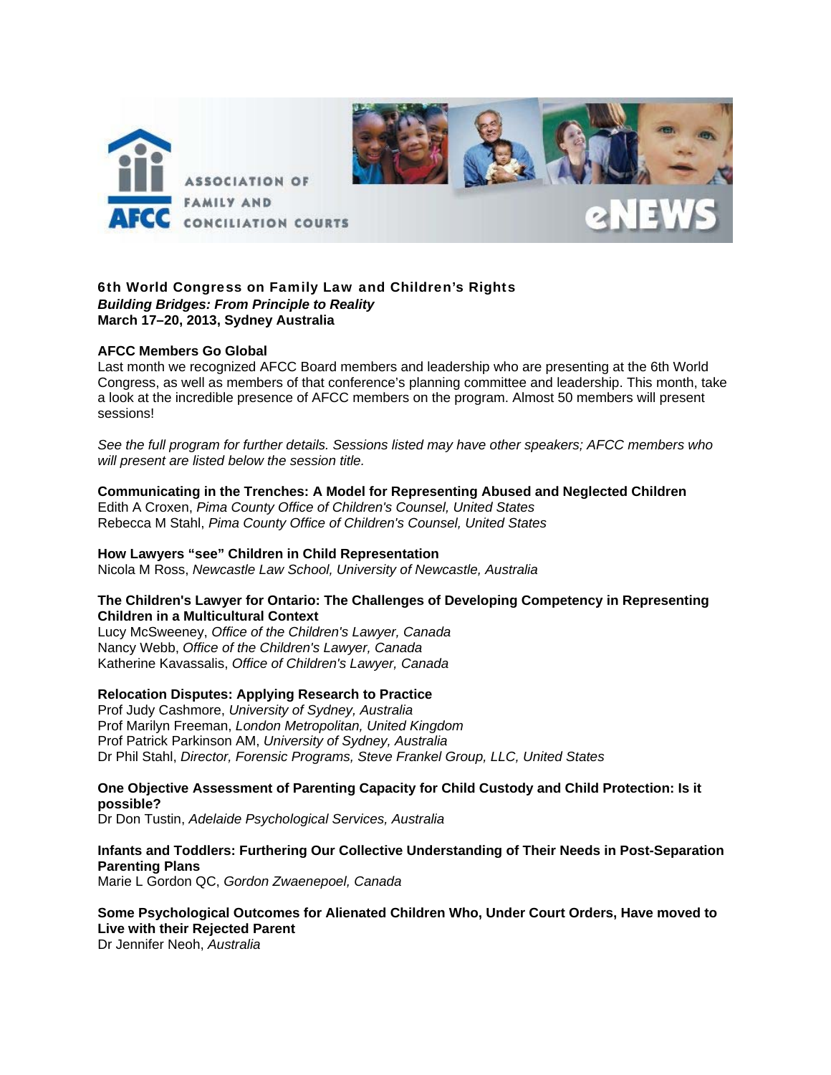

## 6th World Congress on Family Law and Children's Rights *Building Bridges: From Principle to Reality*  **March 17–20, 2013, Sydney Australia**

## **AFCC Members Go Global**

Last month we recognized AFCC Board members and leadership who are presenting at the 6th World Congress, as well as members of that conference's planning committee and leadership. This month, take a look at the incredible presence of AFCC members on the program. Almost 50 members will present sessions!

*See the full program for further details. Sessions listed may have other speakers; AFCC members who will present are listed below the session title.* 

## **Communicating in the Trenches: A Model for Representing Abused and Neglected Children**

Edith A Croxen, *Pima County Office of Children's Counsel, United States* Rebecca M Stahl, *Pima County Office of Children's Counsel, United States*

# **How Lawyers "see" Children in Child Representation**

Nicola M Ross, *Newcastle Law School, University of Newcastle, Australia* 

## **The Children's Lawyer for Ontario: The Challenges of Developing Competency in Representing Children in a Multicultural Context**

Lucy McSweeney, *Office of the Children's Lawyer, Canada* Nancy Webb, *Office of the Children's Lawyer, Canada* Katherine Kavassalis, *Office of Children's Lawyer, Canada* 

# **Relocation Disputes: Applying Research to Practice**

Prof Judy Cashmore, *University of Sydney, Australia*  Prof Marilyn Freeman, *London Metropolitan, United Kingdom*  Prof Patrick Parkinson AM, *University of Sydney, Australia* Dr Phil Stahl, *Director, Forensic Programs, Steve Frankel Group, LLC, United States* 

## **One Objective Assessment of Parenting Capacity for Child Custody and Child Protection: Is it possible?**

Dr Don Tustin, *Adelaide Psychological Services, Australia*

# **Infants and Toddlers: Furthering Our Collective Understanding of Their Needs in Post-Separation Parenting Plans**

Marie L Gordon QC, *Gordon Zwaenepoel, Canada* 

# **Some Psychological Outcomes for Alienated Children Who, Under Court Orders, Have moved to Live with their Rejected Parent**

Dr Jennifer Neoh, *Australia*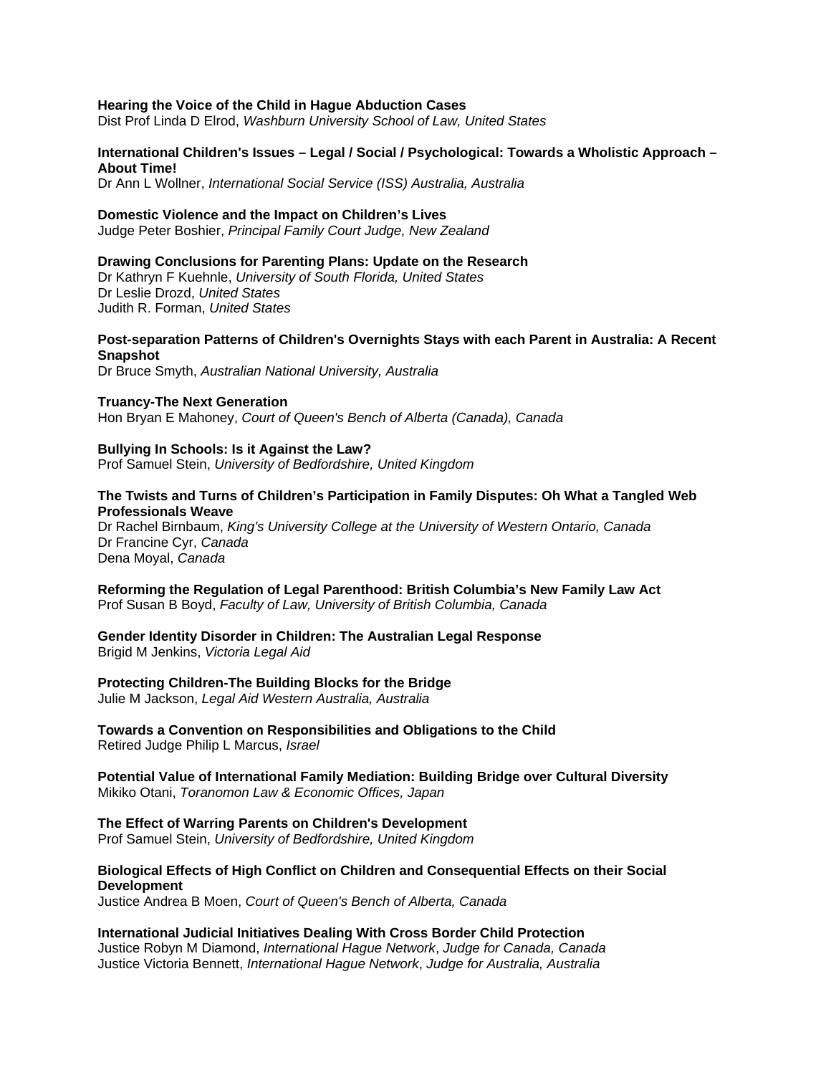### **Hearing the Voice of the Child in Hague Abduction Cases**

Dist Prof Linda D Elrod, *Washburn University School of Law, United States* 

## **International Children's Issues – Legal / Social / Psychological: Towards a Wholistic Approach – About Time!**

Dr Ann L Wollner, *International Social Service (ISS) Australia, Australia* 

### **Domestic Violence and the Impact on Children's Lives**

Judge Peter Boshier, *Principal Family Court Judge, New Zealand* 

### **Drawing Conclusions for Parenting Plans: Update on the Research**

Dr Kathryn F Kuehnle, *University of South Florida, United States* Dr Leslie Drozd, *United States*  Judith R. Forman, *United States* 

### **Post-separation Patterns of Children's Overnights Stays with each Parent in Australia: A Recent Snapshot**

Dr Bruce Smyth, *Australian National University, Australia* 

### **Truancy-The Next Generation**

Hon Bryan E Mahoney, *Court of Queen's Bench of Alberta (Canada), Canada*

## **Bullying In Schools: Is it Against the Law?**

Prof Samuel Stein, *University of Bedfordshire, United Kingdom* 

### **The Twists and Turns of Children's Participation in Family Disputes: Oh What a Tangled Web Professionals Weave**

Dr Rachel Birnbaum, *King's University College at the University of Western Ontario, Canada* Dr Francine Cyr, *Canada* Dena Moyal, *Canada* 

**Reforming the Regulation of Legal Parenthood: British Columbia's New Family Law Act**  Prof Susan B Boyd, *Faculty of Law, University of British Columbia, Canada* 

### **Gender Identity Disorder in Children: The Australian Legal Response**  Brigid M Jenkins, *Victoria Legal Aid*

### **Protecting Children-The Building Blocks for the Bridge**

Julie M Jackson, *Legal Aid Western Australia, Australia* 

**Towards a Convention on Responsibilities and Obligations to the Child**  Retired Judge Philip L Marcus, *Israel* 

**Potential Value of International Family Mediation: Building Bridge over Cultural Diversity**  Mikiko Otani, *Toranomon Law & Economic Offices, Japan* 

## **The Effect of Warring Parents on Children's Development**

Prof Samuel Stein, *University of Bedfordshire, United Kingdom* 

## **Biological Effects of High Conflict on Children and Consequential Effects on their Social Development**

Justice Andrea B Moen, *Court of Queen's Bench of Alberta, Canada* 

# **International Judicial Initiatives Dealing With Cross Border Child Protection**

Justice Robyn M Diamond, *International Hague Network*, *Judge for Canada, Canada* Justice Victoria Bennett, *International Hague Network*, *Judge for Australia, Australia*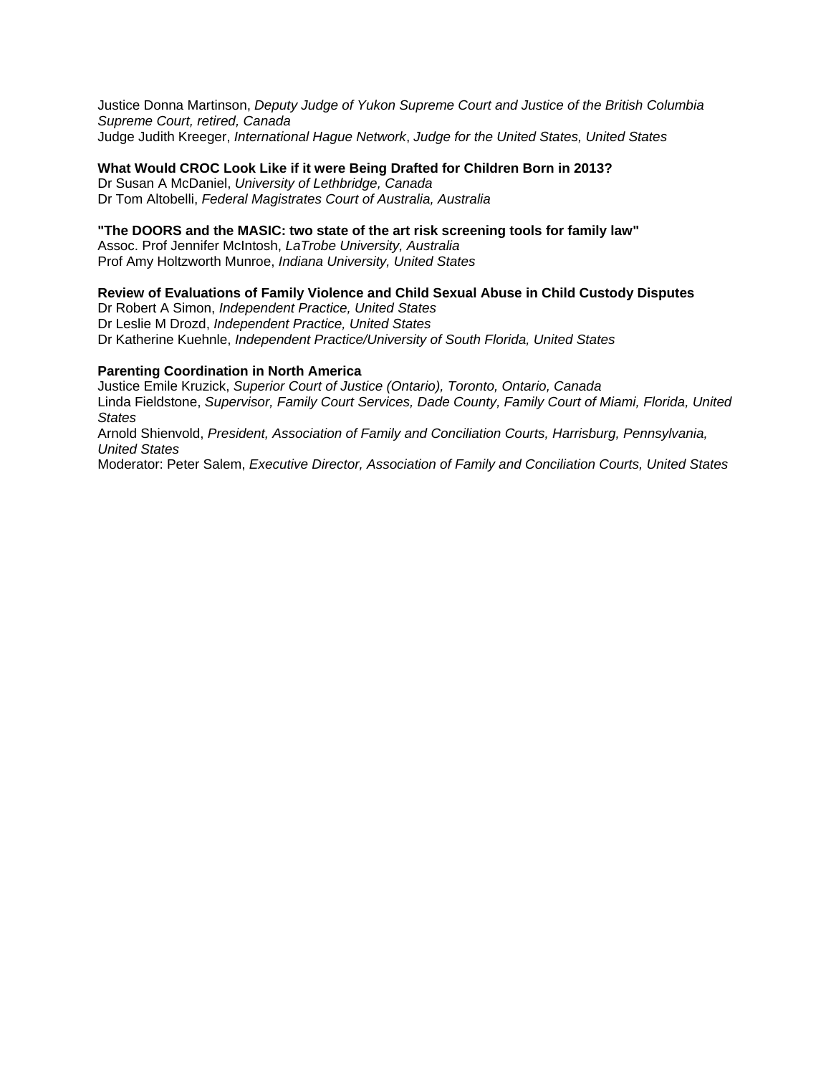Justice Donna Martinson, *Deputy Judge of Yukon Supreme Court and Justice of the British Columbia Supreme Court, retired, Canada* Judge Judith Kreeger, *International Hague Network*, *Judge for the United States, United States* 

## **What Would CROC Look Like if it were Being Drafted for Children Born in 2013?**

Dr Susan A McDaniel, *University of Lethbridge, Canada* Dr Tom Altobelli, *Federal Magistrates Court of Australia, Australia* 

## **"The DOORS and the MASIC: two state of the art risk screening tools for family law"**

Assoc. Prof Jennifer McIntosh, *LaTrobe University, Australia* Prof Amy Holtzworth Munroe, *Indiana University, United States* 

## **Review of Evaluations of Family Violence and Child Sexual Abuse in Child Custody Disputes**

Dr Robert A Simon, *Independent Practice, United States*

Dr Leslie M Drozd, *Independent Practice, United States*

Dr Katherine Kuehnle, *Independent Practice/University of South Florida, United States* 

## **Parenting Coordination in North America**

Justice Emile Kruzick, *Superior Court of Justice (Ontario), Toronto, Ontario, Canada* Linda Fieldstone, *Supervisor, Family Court Services, Dade County, Family Court of Miami, Florida, United States*

Arnold Shienvold, *President, Association of Family and Conciliation Courts, Harrisburg, Pennsylvania, United States*

Moderator: Peter Salem, *Executive Director, Association of Family and Conciliation Courts, United States*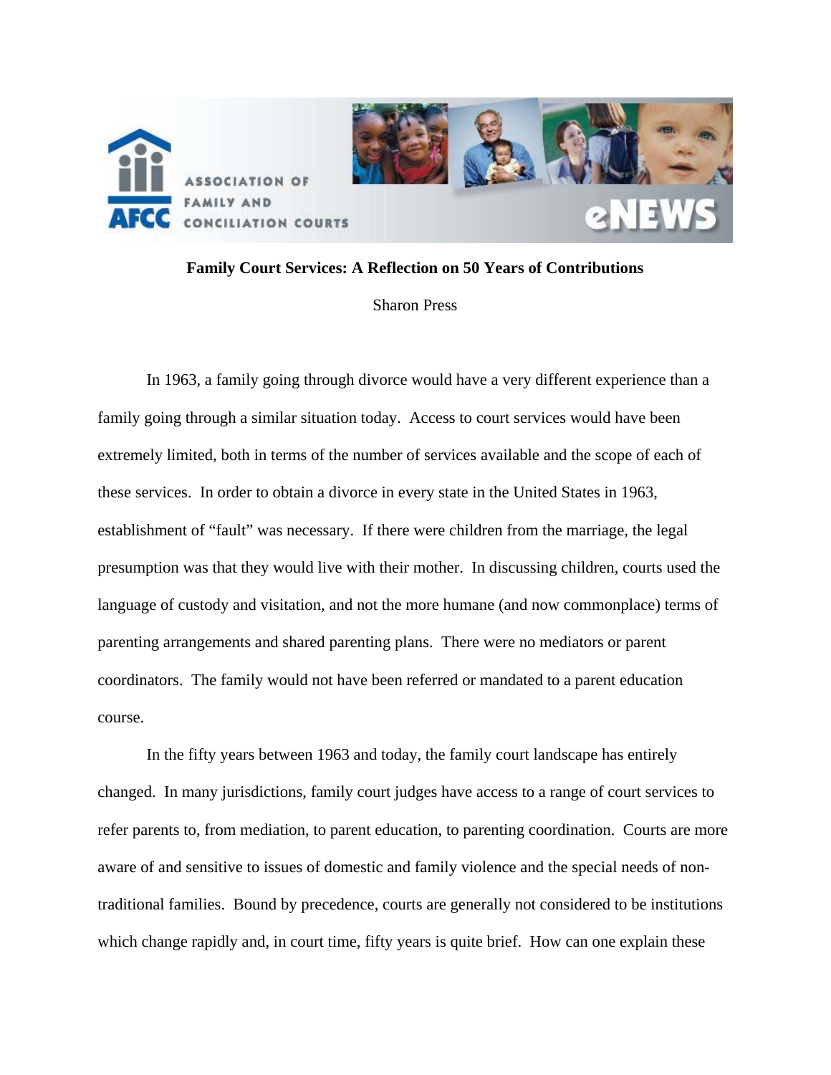

## **Family Court Services: A Reflection on 50 Years of Contributions**

## Sharon Press

 In 1963, a family going through divorce would have a very different experience than a family going through a similar situation today. Access to court services would have been extremely limited, both in terms of the number of services available and the scope of each of these services. In order to obtain a divorce in every state in the United States in 1963, establishment of "fault" was necessary. If there were children from the marriage, the legal presumption was that they would live with their mother. In discussing children, courts used the language of custody and visitation, and not the more humane (and now commonplace) terms of parenting arrangements and shared parenting plans. There were no mediators or parent coordinators. The family would not have been referred or mandated to a parent education course.

 In the fifty years between 1963 and today, the family court landscape has entirely changed. In many jurisdictions, family court judges have access to a range of court services to refer parents to, from mediation, to parent education, to parenting coordination. Courts are more aware of and sensitive to issues of domestic and family violence and the special needs of nontraditional families. Bound by precedence, courts are generally not considered to be institutions which change rapidly and, in court time, fifty years is quite brief. How can one explain these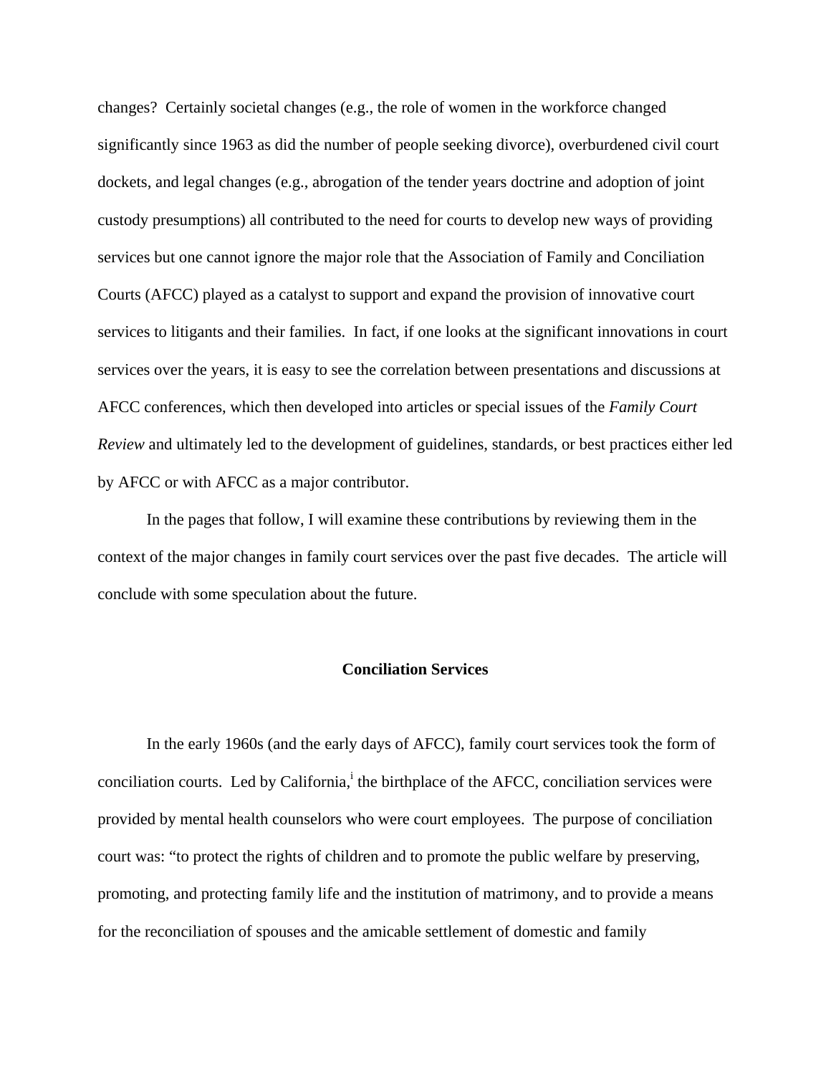changes? Certainly societal changes (e.g., the role of women in the workforce changed significantly since 1963 as did the number of people seeking divorce), overburdened civil court dockets, and legal changes (e.g., abrogation of the tender years doctrine and adoption of joint custody presumptions) all contributed to the need for courts to develop new ways of providing services but one cannot ignore the major role that the Association of Family and Conciliation Courts (AFCC) played as a catalyst to support and expand the provision of innovative court services to litigants and their families. In fact, if one looks at the significant innovations in court services over the years, it is easy to see the correlation between presentations and discussions at AFCC conferences, which then developed into articles or special issues of the *Family Court Review* and ultimately led to the development of guidelines, standards, or best practices either led by AFCC or with AFCC as a major contributor.

 In the pages that follow, I will examine these contributions by reviewing them in the context of the major changes in family court services over the past five decades. The article will conclude with some speculation about the future.

## **Conciliation Services**

 In the early 1960s (and the early days of AFCC), family court services took the form of conciliation courts. Led by California, the birthplace of the AFCC, conciliation services were provided by mental health counselors who were court employees. The purpose of conciliation court was: "to protect the rights of children and to promote the public welfare by preserving, promoting, and protecting family life and the institution of matrimony, and to provide a means for the reconciliation of spouses and the amicable settlement of domestic and family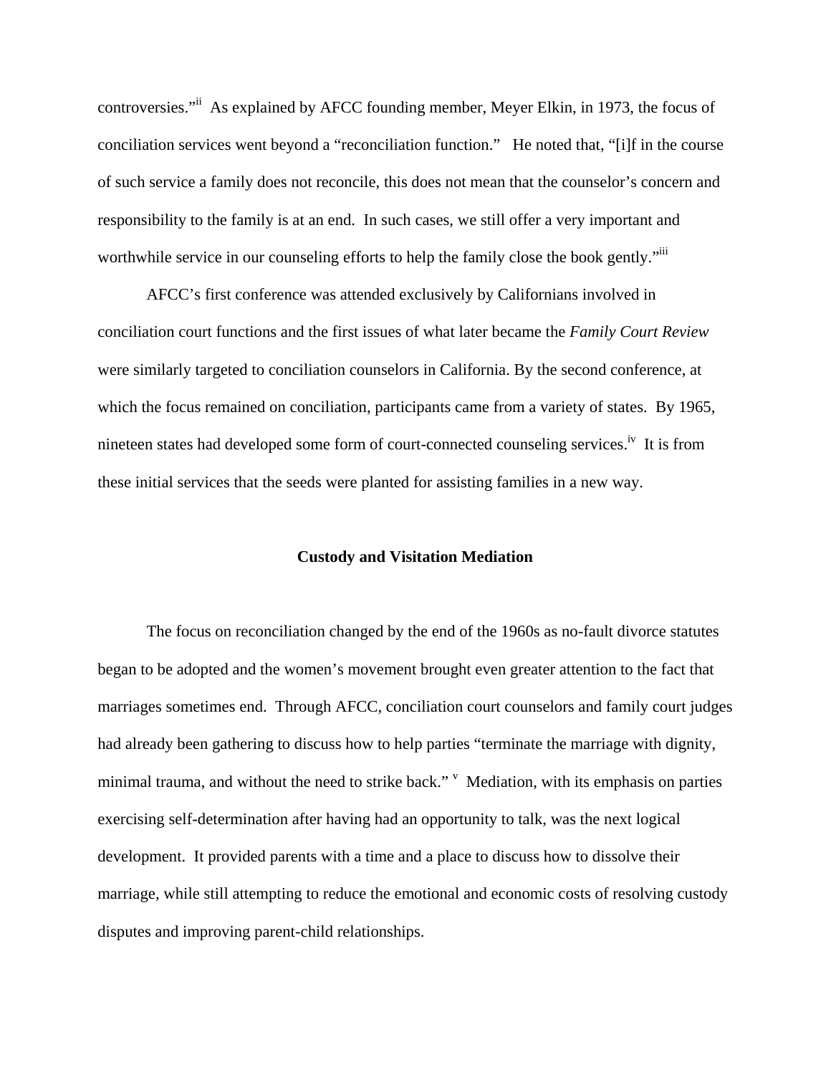controversies."ii As explained by AFCC founding member, Meyer Elkin, in 1973, the focus of conciliation services went beyond a "reconciliation function." He noted that, "[i]f in the course of such service a family does not reconcile, this does not mean that the counselor's concern and responsibility to the family is at an end. In such cases, we still offer a very important and worthwhile service in our counseling efforts to help the family close the book gently."

 AFCC's first conference was attended exclusively by Californians involved in conciliation court functions and the first issues of what later became the *Family Court Review* were similarly targeted to conciliation counselors in California. By the second conference, at which the focus remained on conciliation, participants came from a variety of states. By 1965, nineteen states had developed some form of court-connected counseling services.<sup>iv</sup> It is from these initial services that the seeds were planted for assisting families in a new way.

## **Custody and Visitation Mediation**

 The focus on reconciliation changed by the end of the 1960s as no-fault divorce statutes began to be adopted and the women's movement brought even greater attention to the fact that marriages sometimes end. Through AFCC, conciliation court counselors and family court judges had already been gathering to discuss how to help parties "terminate the marriage with dignity, minimal trauma, and without the need to strike back."  $V$  Mediation, with its emphasis on parties exercising self-determination after having had an opportunity to talk, was the next logical development. It provided parents with a time and a place to discuss how to dissolve their marriage, while still attempting to reduce the emotional and economic costs of resolving custody disputes and improving parent-child relationships.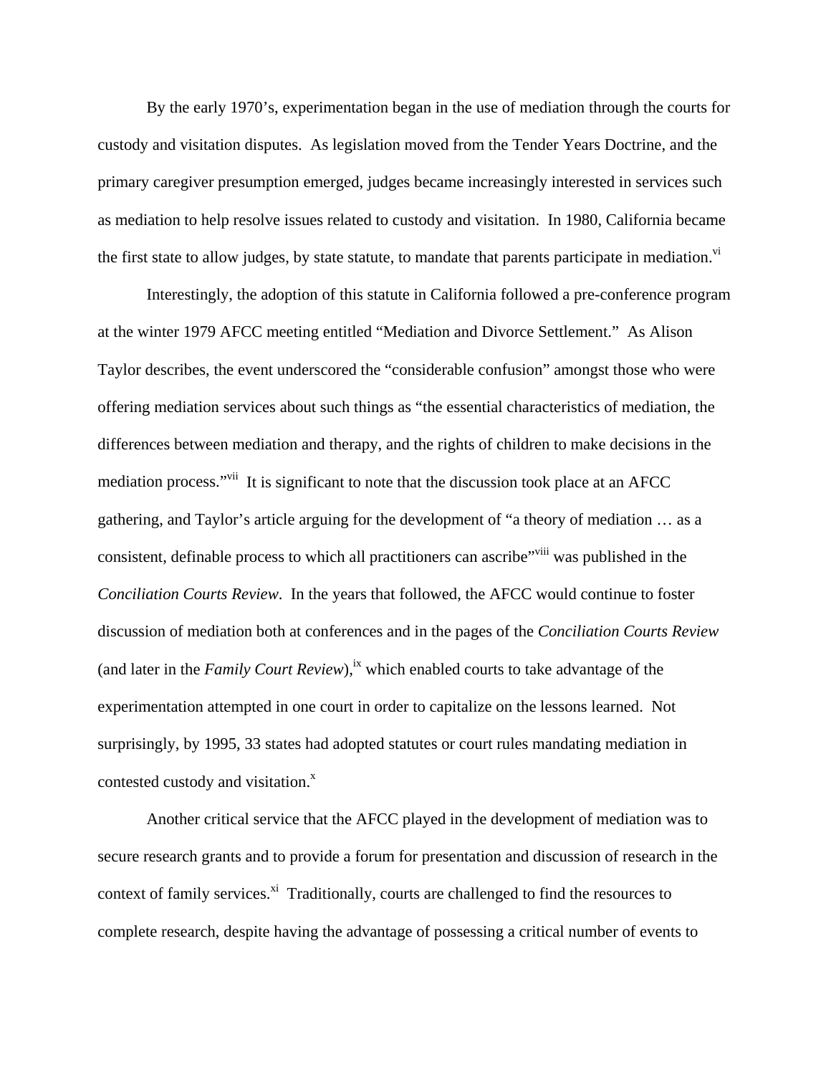By the early 1970's, experimentation began in the use of mediation through the courts for custody and visitation disputes. As legislation moved from the Tender Years Doctrine, and the primary caregiver presumption emerged, judges became increasingly interested in services such as mediation to help resolve issues related to custody and visitation. In 1980, California became the first state to allow judges, by state statute, to mandate that parents participate in mediation.<sup>Vi</sup>

 Interestingly, the adoption of this statute in California followed a pre-conference program at the winter 1979 AFCC meeting entitled "Mediation and Divorce Settlement." As Alison Taylor describes, the event underscored the "considerable confusion" amongst those who were offering mediation services about such things as "the essential characteristics of mediation, the differences between mediation and therapy, and the rights of children to make decisions in the mediation process."<sup>vii</sup> It is significant to note that the discussion took place at an AFCC gathering, and Taylor's article arguing for the development of "a theory of mediation … as a consistent, definable process to which all practitioners can ascribe<sup>"viii</sup> was published in the *Conciliation Courts Review*. In the years that followed, the AFCC would continue to foster discussion of mediation both at conferences and in the pages of the *Conciliation Courts Review*  (and later in the *Family Court Review*),<sup>ix</sup> which enabled courts to take advantage of the experimentation attempted in one court in order to capitalize on the lessons learned. Not surprisingly, by 1995, 33 states had adopted statutes or court rules mandating mediation in contested custody and visitation. $^x$ 

 Another critical service that the AFCC played in the development of mediation was to secure research grants and to provide a forum for presentation and discussion of research in the context of family services. $x_i$ <sup>i</sup> Traditionally, courts are challenged to find the resources to complete research, despite having the advantage of possessing a critical number of events to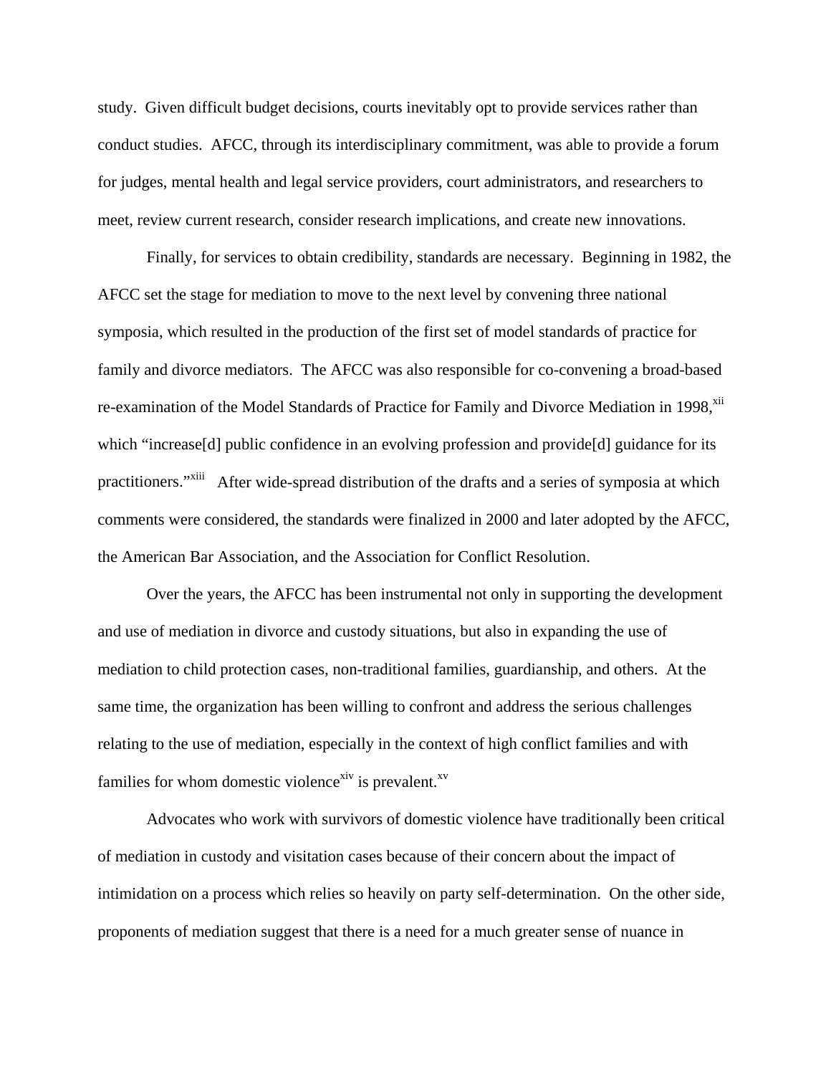study. Given difficult budget decisions, courts inevitably opt to provide services rather than conduct studies. AFCC, through its interdisciplinary commitment, was able to provide a forum for judges, mental health and legal service providers, court administrators, and researchers to meet, review current research, consider research implications, and create new innovations.

 Finally, for services to obtain credibility, standards are necessary. Beginning in 1982, the AFCC set the stage for mediation to move to the next level by convening three national symposia, which resulted in the production of the first set of model standards of practice for family and divorce mediators. The AFCC was also responsible for co-convening a broad-based re-examination of the Model Standards of Practice for Family and Divorce Mediation in 1998,<sup>xii</sup> which "increase<sup>[d]</sup> public confidence in an evolving profession and provide<sup>[d]</sup> guidance for its practitioners."<sup>xiii</sup> After wide-spread distribution of the drafts and a series of symposia at which comments were considered, the standards were finalized in 2000 and later adopted by the AFCC, the American Bar Association, and the Association for Conflict Resolution.

 Over the years, the AFCC has been instrumental not only in supporting the development and use of mediation in divorce and custody situations, but also in expanding the use of mediation to child protection cases, non-traditional families, guardianship, and others. At the same time, the organization has been willing to confront and address the serious challenges relating to the use of mediation, especially in the context of high conflict families and with families for whom domestic violence<sup>xiv</sup> is prevalent.<sup>xv</sup>

 Advocates who work with survivors of domestic violence have traditionally been critical of mediation in custody and visitation cases because of their concern about the impact of intimidation on a process which relies so heavily on party self-determination. On the other side, proponents of mediation suggest that there is a need for a much greater sense of nuance in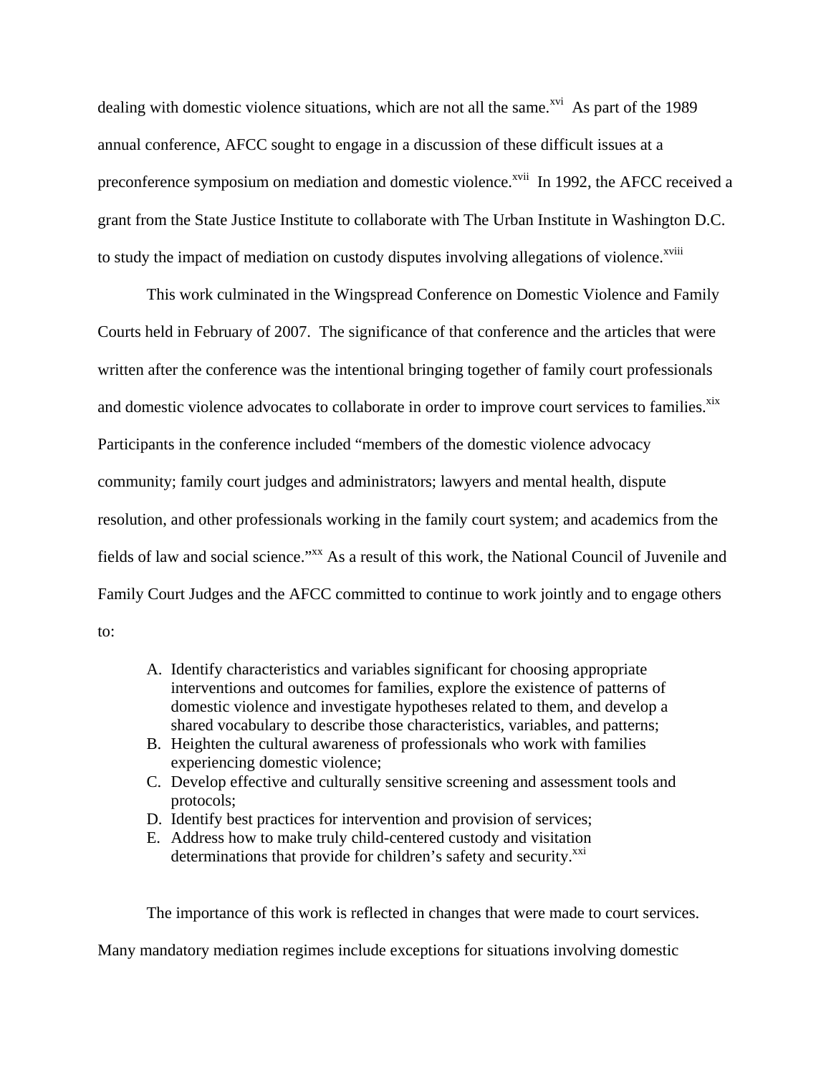dealing with domestic violence situations, which are not all the same.<sup> $xi$ </sup> As part of the 1989 annual conference, AFCC sought to engage in a discussion of these difficult issues at a preconference symposium on mediation and domestic violence.<sup>xvii</sup> In 1992, the AFCC received a grant from the State Justice Institute to collaborate with The Urban Institute in Washington D.C. to study the impact of mediation on custody disputes involving allegations of violence.<sup>xviii</sup>

 This work culminated in the Wingspread Conference on Domestic Violence and Family Courts held in February of 2007. The significance of that conference and the articles that were written after the conference was the intentional bringing together of family court professionals and domestic violence advocates to collaborate in order to improve court services to families.<sup>xix</sup> Participants in the conference included "members of the domestic violence advocacy community; family court judges and administrators; lawyers and mental health, dispute resolution, and other professionals working in the family court system; and academics from the fields of law and social science."<sup>xx</sup> As a result of this work, the National Council of Juvenile and Family Court Judges and the AFCC committed to continue to work jointly and to engage others to:

- A. Identify characteristics and variables significant for choosing appropriate interventions and outcomes for families, explore the existence of patterns of domestic violence and investigate hypotheses related to them, and develop a shared vocabulary to describe those characteristics, variables, and patterns;
- B. Heighten the cultural awareness of professionals who work with families experiencing domestic violence;
- C. Develop effective and culturally sensitive screening and assessment tools and protocols;
- D. Identify best practices for intervention and provision of services;
- E. Address how to make truly child-centered custody and visitation determinations that provide for children's safety and security.<sup>xxi</sup>

The importance of this work is reflected in changes that were made to court services.

Many mandatory mediation regimes include exceptions for situations involving domestic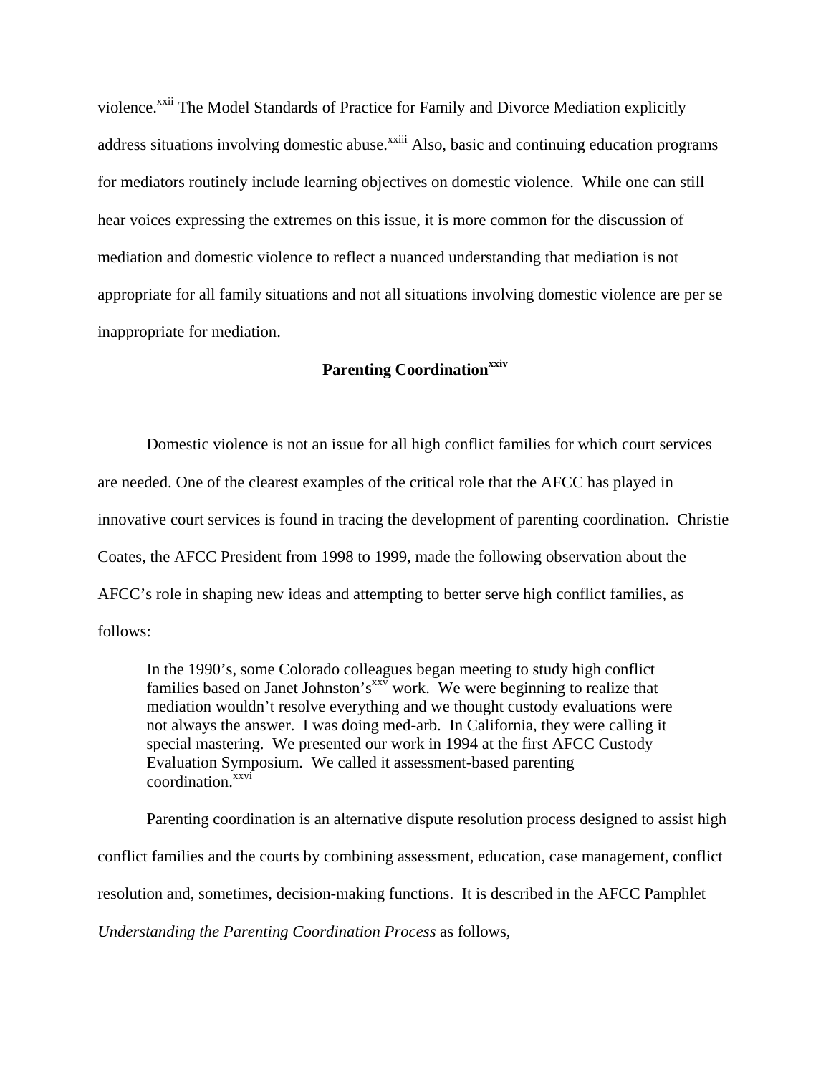violence.<sup>xxii</sup> The Model Standards of Practice for Family and Divorce Mediation explicitly address situations involving domestic abuse.<sup>xxiii</sup> Also, basic and continuing education programs for mediators routinely include learning objectives on domestic violence. While one can still hear voices expressing the extremes on this issue, it is more common for the discussion of mediation and domestic violence to reflect a nuanced understanding that mediation is not appropriate for all family situations and not all situations involving domestic violence are per se inappropriate for mediation.

# **Parenting Coordinationxxiv**

 Domestic violence is not an issue for all high conflict families for which court services are needed. One of the clearest examples of the critical role that the AFCC has played in innovative court services is found in tracing the development of parenting coordination. Christie Coates, the AFCC President from 1998 to 1999, made the following observation about the AFCC's role in shaping new ideas and attempting to better serve high conflict families, as follows:

In the 1990's, some Colorado colleagues began meeting to study high conflict families based on Janet Johnston's  $x^{\text{xiv}}$  work. We were beginning to realize that mediation wouldn't resolve everything and we thought custody evaluations were not always the answer. I was doing med-arb. In California, they were calling it special mastering. We presented our work in 1994 at the first AFCC Custody Evaluation Symposium. We called it assessment-based parenting coordination.<sup>xxvi</sup>

 Parenting coordination is an alternative dispute resolution process designed to assist high conflict families and the courts by combining assessment, education, case management, conflict resolution and, sometimes, decision-making functions. It is described in the AFCC Pamphlet *Understanding the Parenting Coordination Process* as follows*,*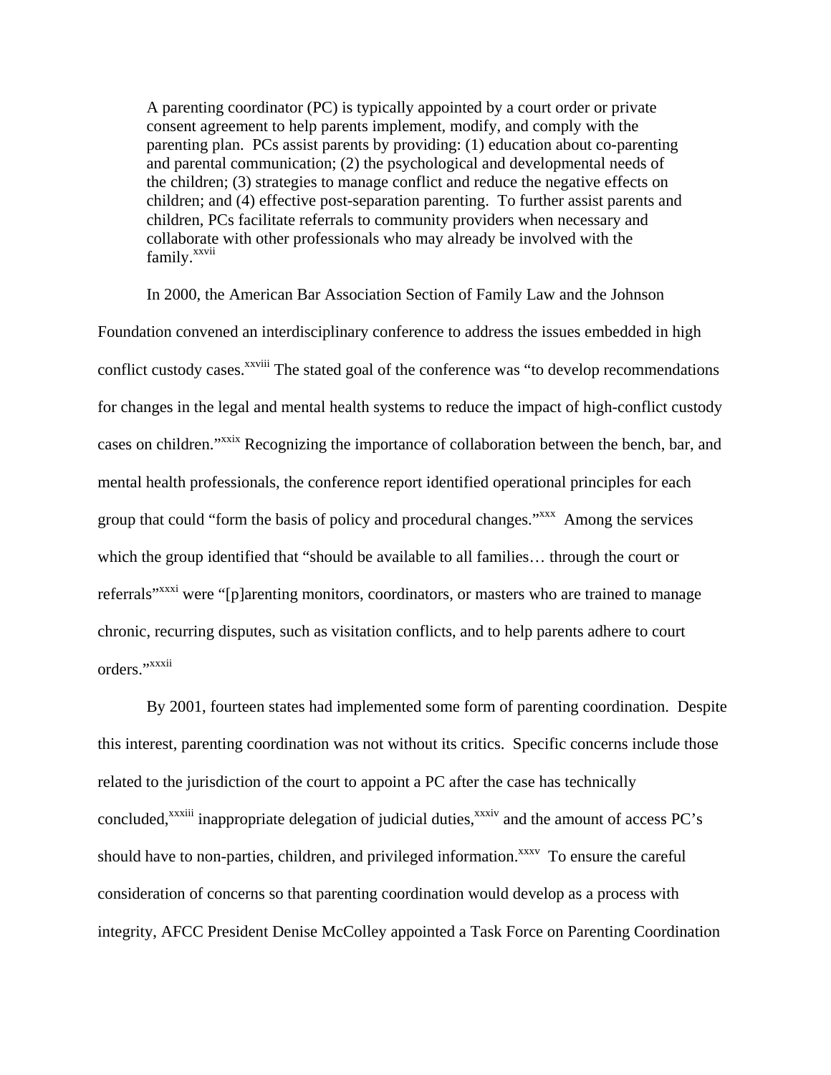A parenting coordinator (PC) is typically appointed by a court order or private consent agreement to help parents implement, modify, and comply with the parenting plan. PCs assist parents by providing: (1) education about co-parenting and parental communication; (2) the psychological and developmental needs of the children; (3) strategies to manage conflict and reduce the negative effects on children; and (4) effective post-separation parenting. To further assist parents and children, PCs facilitate referrals to community providers when necessary and collaborate with other professionals who may already be involved with the family.<sup>xxvii</sup>

 In 2000, the American Bar Association Section of Family Law and the Johnson Foundation convened an interdisciplinary conference to address the issues embedded in high conflict custody cases.<sup>xxviii</sup> The stated goal of the conference was "to develop recommendations" for changes in the legal and mental health systems to reduce the impact of high-conflict custody cases on children."xxix Recognizing the importance of collaboration between the bench, bar, and mental health professionals, the conference report identified operational principles for each group that could "form the basis of policy and procedural changes."<sup>xxx</sup> Among the services which the group identified that "should be available to all families… through the court or referrals<sup>"xxxi</sup> were "[p]arenting monitors, coordinators, or masters who are trained to manage chronic, recurring disputes, such as visitation conflicts, and to help parents adhere to court orders."xxxii

 By 2001, fourteen states had implemented some form of parenting coordination. Despite this interest, parenting coordination was not without its critics. Specific concerns include those related to the jurisdiction of the court to appoint a PC after the case has technically concluded,<sup>xxxiii</sup> inappropriate delegation of judicial duties,<sup>xxxiv</sup> and the amount of access PC's should have to non-parties, children, and privileged information.<sup>xxxv</sup> To ensure the careful consideration of concerns so that parenting coordination would develop as a process with integrity, AFCC President Denise McColley appointed a Task Force on Parenting Coordination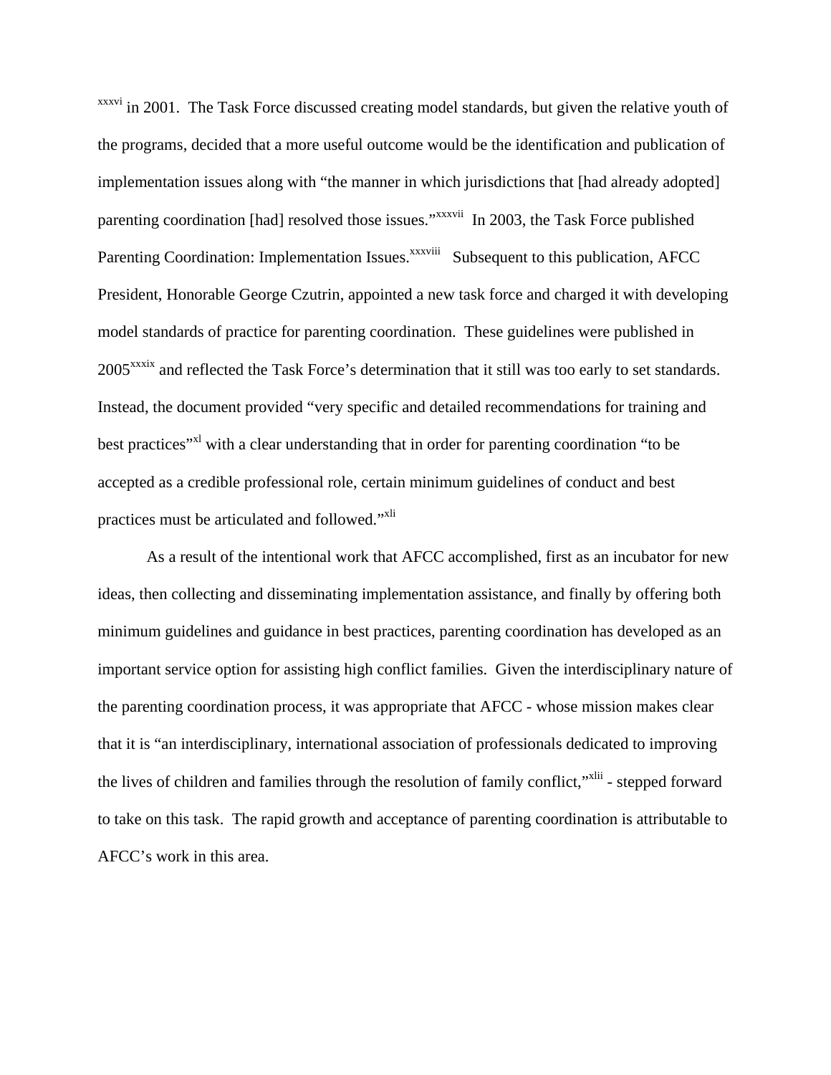xxxvi in 2001. The Task Force discussed creating model standards, but given the relative youth of the programs, decided that a more useful outcome would be the identification and publication of implementation issues along with "the manner in which jurisdictions that [had already adopted] parenting coordination [had] resolved those issues."xxxvii In 2003, the Task Force published Parenting Coordination: Implementation Issues.<sup>xxxviii</sup> Subsequent to this publication, AFCC President, Honorable George Czutrin, appointed a new task force and charged it with developing model standards of practice for parenting coordination. These guidelines were published in 2005<sup>xxxix</sup> and reflected the Task Force's determination that it still was too early to set standards. Instead, the document provided "very specific and detailed recommendations for training and best practices"<sup>xl</sup> with a clear understanding that in order for parenting coordination "to be accepted as a credible professional role, certain minimum guidelines of conduct and best practices must be articulated and followed."<sup>xli</sup>

 As a result of the intentional work that AFCC accomplished, first as an incubator for new ideas, then collecting and disseminating implementation assistance, and finally by offering both minimum guidelines and guidance in best practices, parenting coordination has developed as an important service option for assisting high conflict families. Given the interdisciplinary nature of the parenting coordination process, it was appropriate that AFCC - whose mission makes clear that it is "an interdisciplinary, international association of professionals dedicated to improving the lives of children and families through the resolution of family conflict,"<sup>xlii</sup> - stepped forward to take on this task. The rapid growth and acceptance of parenting coordination is attributable to AFCC's work in this area.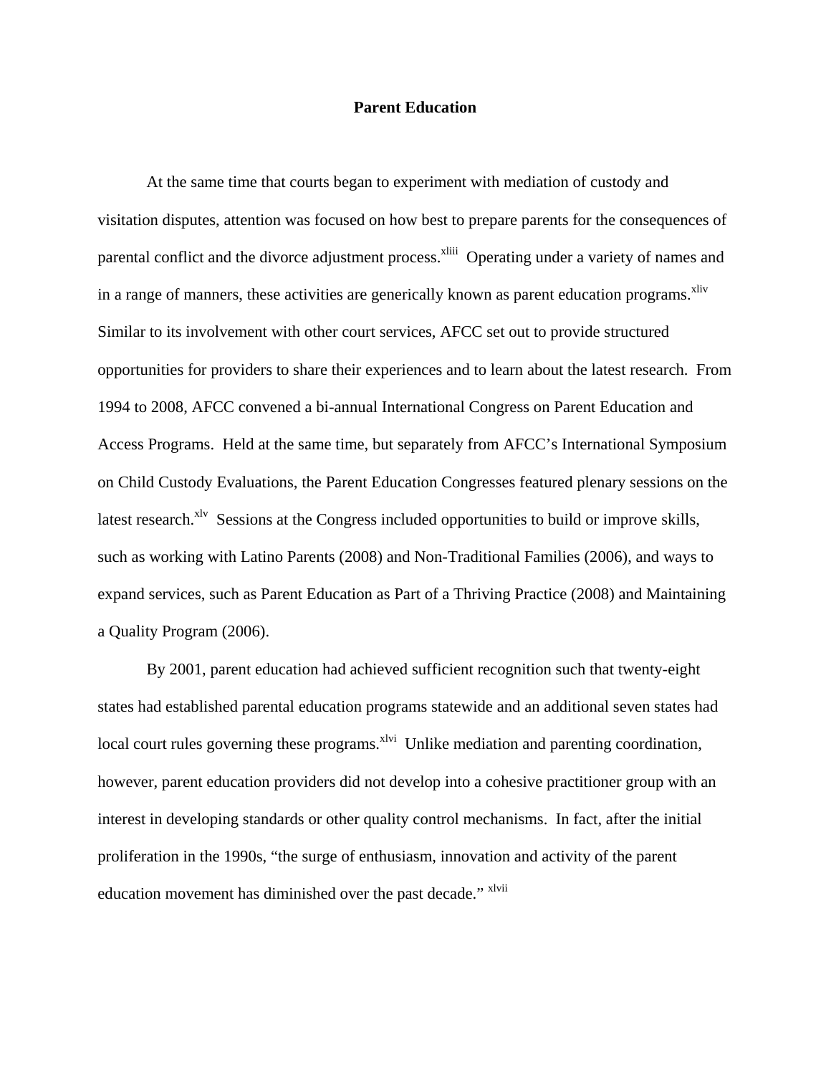## **Parent Education**

 At the same time that courts began to experiment with mediation of custody and visitation disputes, attention was focused on how best to prepare parents for the consequences of parental conflict and the divorce adjustment process.<sup>xliii</sup> Operating under a variety of names and in a range of manners, these activities are generically known as parent education programs.<sup>xliv</sup> Similar to its involvement with other court services, AFCC set out to provide structured opportunities for providers to share their experiences and to learn about the latest research. From 1994 to 2008, AFCC convened a bi-annual International Congress on Parent Education and Access Programs. Held at the same time, but separately from AFCC's International Symposium on Child Custody Evaluations, the Parent Education Congresses featured plenary sessions on the latest research. $x^{1v}$  Sessions at the Congress included opportunities to build or improve skills, such as working with Latino Parents (2008) and Non-Traditional Families (2006), and ways to expand services, such as Parent Education as Part of a Thriving Practice (2008) and Maintaining a Quality Program (2006).

 By 2001, parent education had achieved sufficient recognition such that twenty-eight states had established parental education programs statewide and an additional seven states had local court rules governing these programs.<sup>xlvi</sup> Unlike mediation and parenting coordination, however, parent education providers did not develop into a cohesive practitioner group with an interest in developing standards or other quality control mechanisms. In fact, after the initial proliferation in the 1990s, "the surge of enthusiasm, innovation and activity of the parent education movement has diminished over the past decade." <sup>xlvii</sup>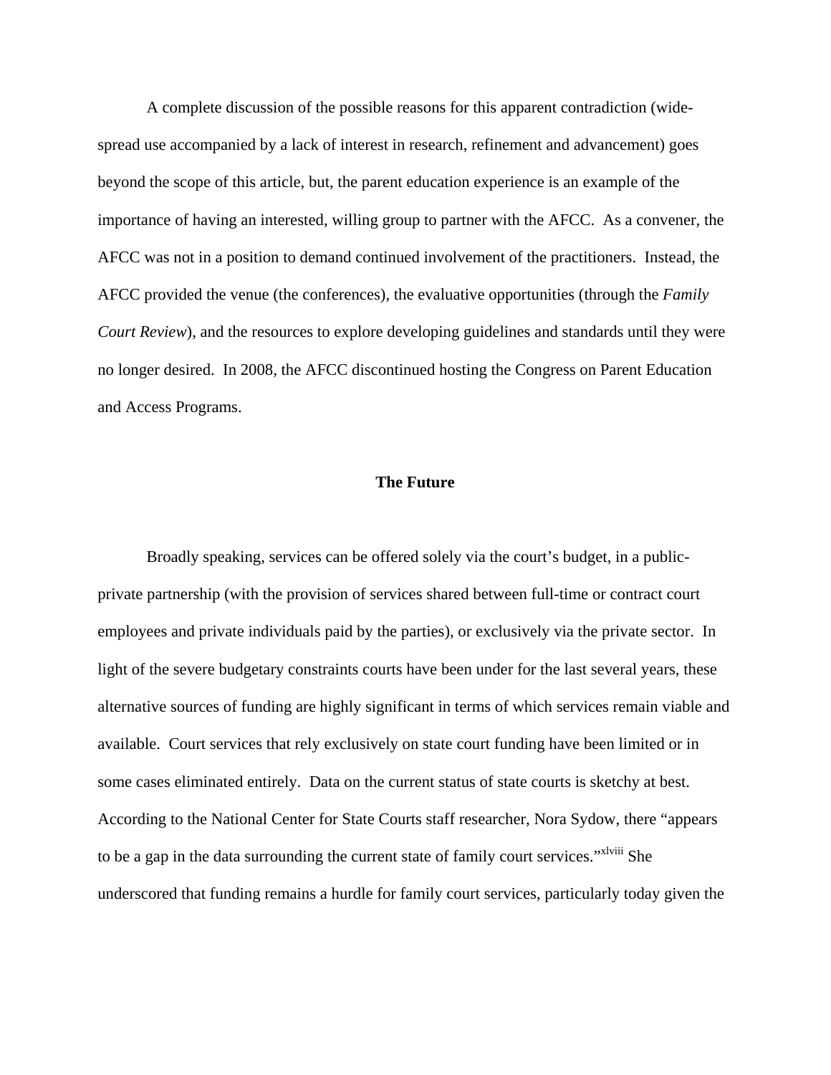A complete discussion of the possible reasons for this apparent contradiction (widespread use accompanied by a lack of interest in research, refinement and advancement) goes beyond the scope of this article, but, the parent education experience is an example of the importance of having an interested, willing group to partner with the AFCC. As a convener, the AFCC was not in a position to demand continued involvement of the practitioners. Instead, the AFCC provided the venue (the conferences), the evaluative opportunities (through the *Family Court Review*), and the resources to explore developing guidelines and standards until they were no longer desired. In 2008, the AFCC discontinued hosting the Congress on Parent Education and Access Programs.

## **The Future**

Broadly speaking, services can be offered solely via the court's budget, in a publicprivate partnership (with the provision of services shared between full-time or contract court employees and private individuals paid by the parties), or exclusively via the private sector. In light of the severe budgetary constraints courts have been under for the last several years, these alternative sources of funding are highly significant in terms of which services remain viable and available. Court services that rely exclusively on state court funding have been limited or in some cases eliminated entirely. Data on the current status of state courts is sketchy at best. According to the National Center for State Courts staff researcher, Nora Sydow, there "appears to be a gap in the data surrounding the current state of family court services."<sup>xlviii</sup> She underscored that funding remains a hurdle for family court services, particularly today given the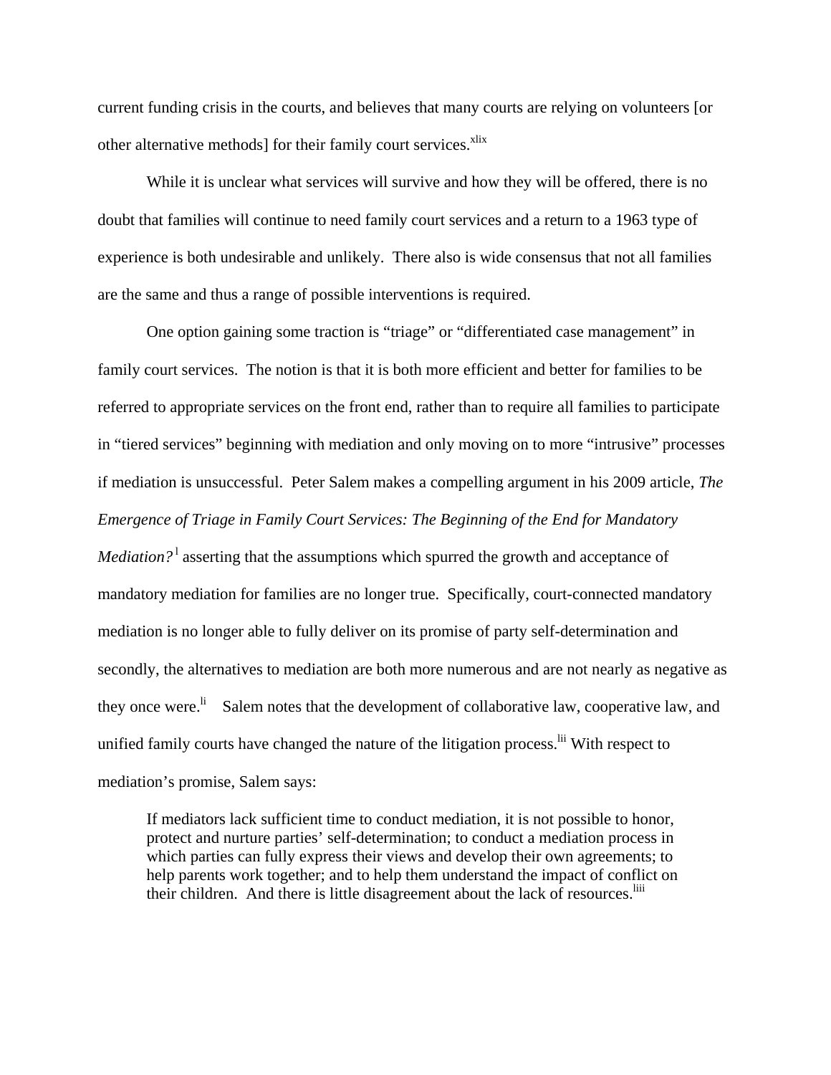current funding crisis in the courts, and believes that many courts are relying on volunteers [or other alternative methods] for their family court services.<sup>xlix</sup>

While it is unclear what services will survive and how they will be offered, there is no doubt that families will continue to need family court services and a return to a 1963 type of experience is both undesirable and unlikely. There also is wide consensus that not all families are the same and thus a range of possible interventions is required.

 One option gaining some traction is "triage" or "differentiated case management" in family court services. The notion is that it is both more efficient and better for families to be referred to appropriate services on the front end, rather than to require all families to participate in "tiered services" beginning with mediation and only moving on to more "intrusive" processes if mediation is unsuccessful. Peter Salem makes a compelling argument in his 2009 article, *The Emergence of Triage in Family Court Services: The Beginning of the End for Mandatory Mediation*?<sup>1</sup> asserting that the assumptions which spurred the growth and acceptance of mandatory mediation for families are no longer true. Specifically, court-connected mandatory mediation is no longer able to fully deliver on its promise of party self-determination and secondly, the alternatives to mediation are both more numerous and are not nearly as negative as they once were.<sup>li</sup> Salem notes that the development of collaborative law, cooperative law, and unified family courts have changed the nature of the litigation process.<sup>Iii</sup> With respect to mediation's promise, Salem says:

If mediators lack sufficient time to conduct mediation, it is not possible to honor, protect and nurture parties' self-determination; to conduct a mediation process in which parties can fully express their views and develop their own agreements; to help parents work together; and to help them understand the impact of conflict on their children. And there is little disagreement about the lack of resources.<sup>liii</sup>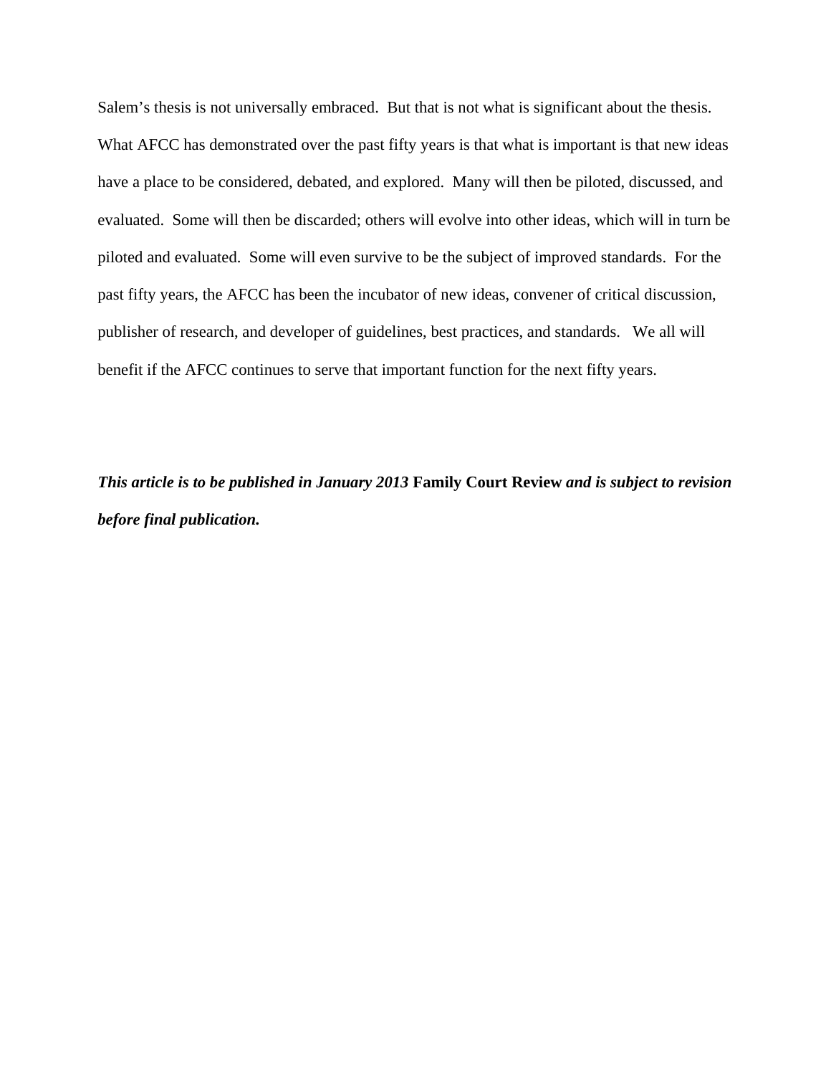Salem's thesis is not universally embraced. But that is not what is significant about the thesis. What AFCC has demonstrated over the past fifty years is that what is important is that new ideas have a place to be considered, debated, and explored. Many will then be piloted, discussed, and evaluated. Some will then be discarded; others will evolve into other ideas, which will in turn be piloted and evaluated. Some will even survive to be the subject of improved standards. For the past fifty years, the AFCC has been the incubator of new ideas, convener of critical discussion, publisher of research, and developer of guidelines, best practices, and standards. We all will benefit if the AFCC continues to serve that important function for the next fifty years.

*This article is to be published in January 2013* **Family Court Review** *and is subject to revision before final publication.*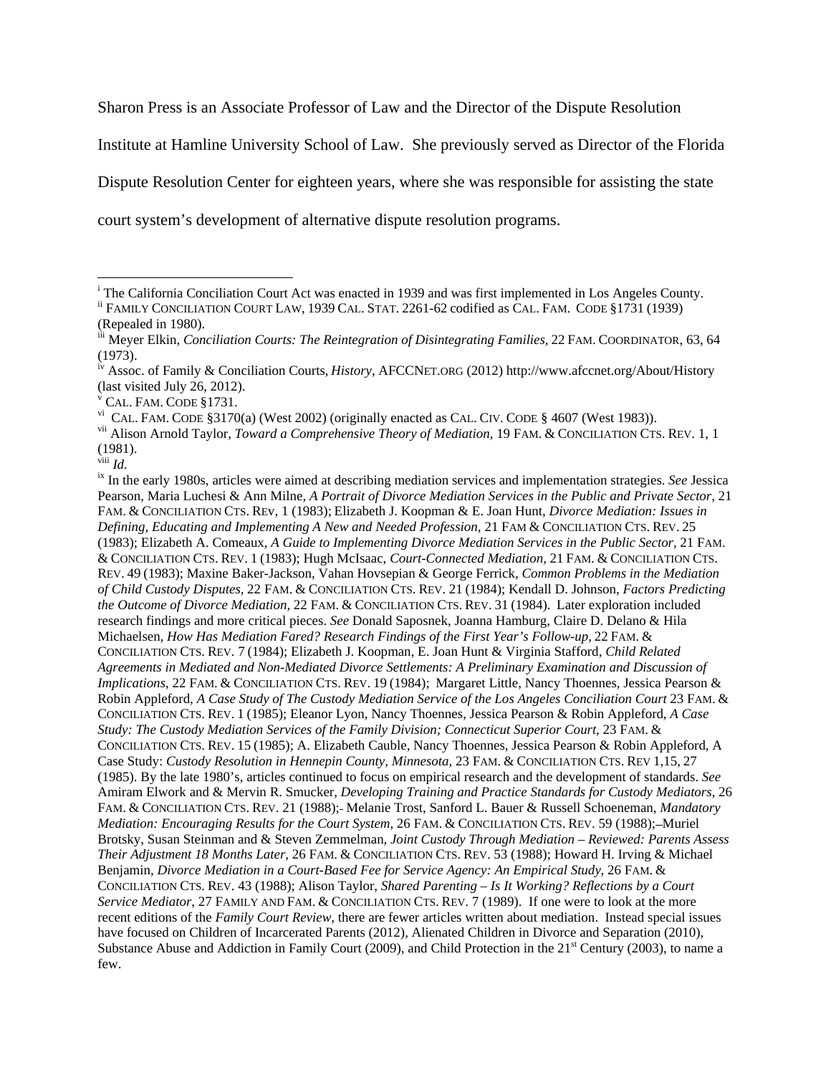Sharon Press is an Associate Professor of Law and the Director of the Dispute Resolution

Institute at Hamline University School of Law. She previously served as Director of the Florida

Dispute Resolution Center for eighteen years, where she was responsible for assisting the state

court system's development of alternative dispute resolution programs.

vi CAL. FAM. CODE §3170(a) (West 2002) (originally enacted as CAL. CIV. CODE § 4607 (West 1983)).

<sup>&</sup>lt;sup>i</sup> The California Conciliation Court Act was enacted in 1939 and was first implemented in Los Angeles County.

ii FAMILY CONCILIATION COURT LAW, 1939 CAL. STAT. 2261-62 codified as CAL. FAM. CODE §1731 (1939) (Repealed in 1980).

iii Meyer Elkin, *Conciliation Courts: The Reintegration of Disintegrating Families,* 22 FAM. COORDINATOR, 63, 64 (1973).

iv Assoc. of Family & Conciliation Courts, *History*, AFCCNET.ORG (2012) http://www.afccnet.org/About/History (last visited July 26, 2012).

v CAL. FAM. CODE §1731.

vii Alison Arnold Taylor, *Toward a Comprehensive Theory of Mediation*, 19 FAM. & CONCILIATION CTS. REV. 1, 1  $(1981).$ <sup>viii</sup> *Id.* 

<sup>&</sup>lt;sup>ix</sup> In the early 1980s, articles were aimed at describing mediation services and implementation strategies. *See* Jessica Pearson, Maria Luchesi & Ann Milne, *A Portrait of Divorce Mediation Services in the Public and Private Sector*, 21 FAM. & CONCILIATION CTS. REv, 1 (1983); Elizabeth J. Koopman & E. Joan Hunt, *Divorce Mediation: Issues in Defining, Educating and Implementing A New and Needed Profession,* 21 FAM & CONCILIATION CTS. REV. 25 (1983); Elizabeth A. Comeaux, *A Guide to Implementing Divorce Mediation Services in the Public Sector,* 21 FAM. & CONCILIATION CTS. REV. 1 (1983); Hugh McIsaac, *Court-Connected Mediation,* 21 FAM. & CONCILIATION CTS. REV. 49 (1983); Maxine Baker-Jackson, Vahan Hovsepian & George Ferrick, *Common Problems in the Mediation of Child Custody Disputes,* 22 FAM. & CONCILIATION CTS. REV. 21 (1984); Kendall D. Johnson, *Factors Predicting the Outcome of Divorce Mediation,* 22 FAM. & CONCILIATION CTS. REV. 31 (1984). Later exploration included research findings and more critical pieces. *See* Donald Saposnek, Joanna Hamburg, Claire D. Delano & Hila Michaelsen, *How Has Mediation Fared? Research Findings of the First Year's Follow-up*, 22 FAM. & CONCILIATION CTS. REV. 7 (1984); Elizabeth J. Koopman, E. Joan Hunt & Virginia Stafford*, Child Related Agreements in Mediated and Non-Mediated Divorce Settlements: A Preliminary Examination and Discussion of Implications*, 22 FAM. & CONCILIATION CTS. REV. 19 (1984); Margaret Little, Nancy Thoennes, Jessica Pearson & Robin Appleford, *A Case Study of The Custody Mediation Service of the Los Angeles Conciliation Court* 23 FAM. & CONCILIATION CTS. REV. 1 (1985); Eleanor Lyon, Nancy Thoennes, Jessica Pearson & Robin Appleford, *A Case Study: The Custody Mediation Services of the Family Division; Connecticut Superior Court*, 23 FAM. & CONCILIATION CTS. REV. 15 (1985); A. Elizabeth Cauble, Nancy Thoennes, Jessica Pearson & Robin Appleford, A Case Study: *Custody Resolution in Hennepin County, Minnesota,* 23 FAM. & CONCILIATION CTS. REV 1,15, 27 (1985). By the late 1980's, articles continued to focus on empirical research and the development of standards. *See*  Amiram Elwork and & Mervin R. Smucker, *Developing Training and Practice Standards for Custody Mediators*, 26 FAM. & CONCILIATION CTS. REV. 21 (1988); Melanie Trost, Sanford L. Bauer & Russell Schoeneman, *Mandatory Mediation: Encouraging Results for the Court System, 26 FAM. & CONCILIATION CTS. REV. 59 (1988):-Muriel* Brotsky, Susan Steinman and & Steven Zemmelman, *Joint Custody Through Mediation – Reviewed: Parents Assess Their Adjustment 18 Months Later,* 26 FAM. & CONCILIATION CTS. REV. 53 (1988); Howard H. Irving & Michael Benjamin, *Divorce Mediation in a Court-Based Fee for Service Agency: An Empirical Study*, 26 FAM. & CONCILIATION CTS. REV. 43 (1988); Alison Taylor, *Shared Parenting – Is It Working? Reflections by a Court Service Mediator*, 27 FAMILY AND FAM. & CONCILIATION CTS. REV. 7 (1989). If one were to look at the more recent editions of the *Family Court Review*, there are fewer articles written about mediation. Instead special issues have focused on Children of Incarcerated Parents (2012), Alienated Children in Divorce and Separation (2010), Substance Abuse and Addiction in Family Court (2009), and Child Protection in the 21<sup>st</sup> Century (2003), to name a few.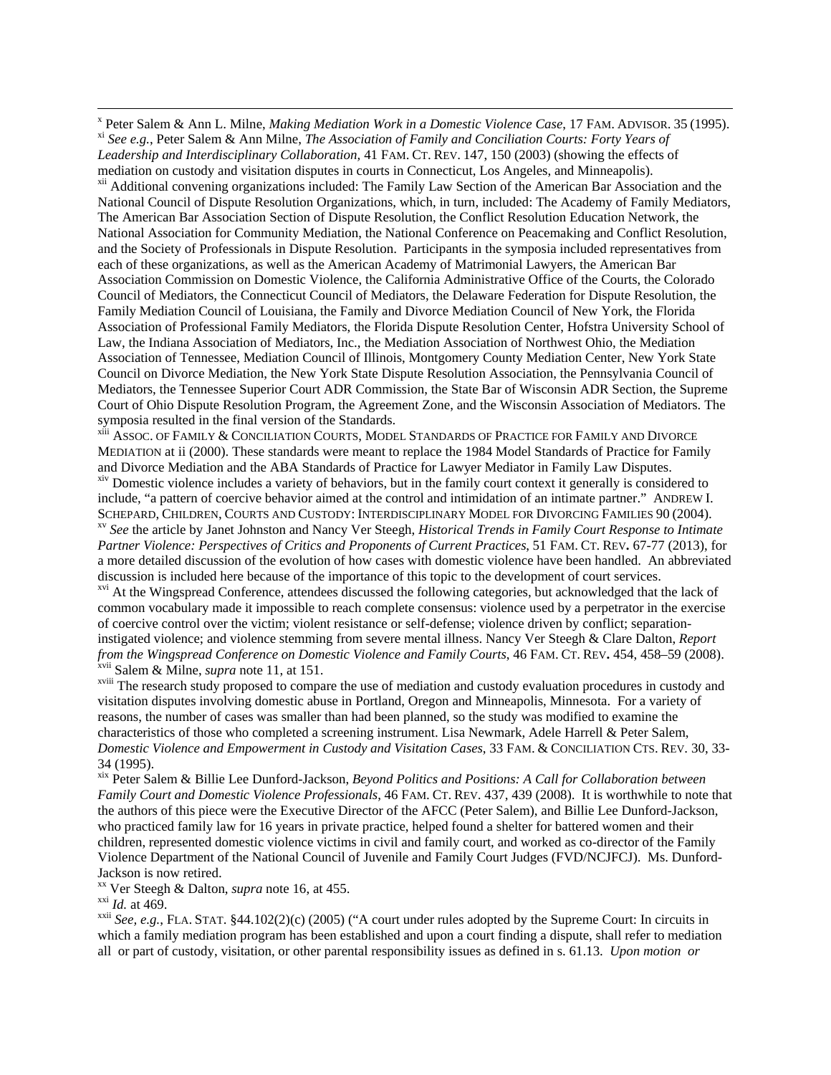<sup>x</sup> Peter Salem & Ann L. Milne, *Making Mediation Work in a Domestic Violence Case*, 17 FAM. ADVISOR. 35 (1995). <sup>xi</sup> See e.g., Peter Salem & Ann Milne, The Association of Family and Conciliation Courts: Forty Years of *Leadership and Interdisciplinary Collaboration,* 41 FAM. CT. REV. 147, 150 (2003) (showing the effects of mediation on custody and visitation disputes in courts in Connecticut, Los Angeles, and Minneapolis).

xii Additional convening organizations included: The Family Law Section of the American Bar Association and the National Council of Dispute Resolution Organizations, which, in turn, included: The Academy of Family Mediators, The American Bar Association Section of Dispute Resolution, the Conflict Resolution Education Network, the National Association for Community Mediation, the National Conference on Peacemaking and Conflict Resolution, and the Society of Professionals in Dispute Resolution. Participants in the symposia included representatives from each of these organizations, as well as the American Academy of Matrimonial Lawyers, the American Bar Association Commission on Domestic Violence, the California Administrative Office of the Courts, the Colorado Council of Mediators, the Connecticut Council of Mediators, the Delaware Federation for Dispute Resolution, the Family Mediation Council of Louisiana, the Family and Divorce Mediation Council of New York, the Florida Association of Professional Family Mediators, the Florida Dispute Resolution Center, Hofstra University School of Law, the Indiana Association of Mediators, Inc., the Mediation Association of Northwest Ohio, the Mediation Association of Tennessee, Mediation Council of Illinois, Montgomery County Mediation Center, New York State Council on Divorce Mediation, the New York State Dispute Resolution Association, the Pennsylvania Council of Mediators, the Tennessee Superior Court ADR Commission, the State Bar of Wisconsin ADR Section, the Supreme Court of Ohio Dispute Resolution Program, the Agreement Zone, and the Wisconsin Association of Mediators. The symposia resulted in the final version of the Standards.

xiii ASSOC. OF FAMILY & CONCILIATION COURTS, MODEL STANDARDS OF PRACTICE FOR FAMILY AND DIVORCE MEDIATION at ii (2000). These standards were meant to replace the 1984 Model Standards of Practice for Family and Divorce Mediation and the ABA Standards of Practice for Lawyer Mediator in Family Law Disputes.

xiv Domestic violence includes a variety of behaviors, but in the family court context it generally is considered to include, "a pattern of coercive behavior aimed at the control and intimidation of an intimate partner." ANDREW I. SCHEPARD, CHILDREN, COURTS AND CUSTODY: INTERDISCIPLINARY MODEL FOR DIVORCING FAMILIES 90 (2004).<br><sup>xv</sup> See the article by Janet Johnston and Nancy Ver Steegh, *Historical Trends in Family Court Response to Intimate* 

*Partner Violence: Perspectives of Critics and Proponents of Current Practices*, 51 FAM. CT. REV**.** 67-77 (2013), for a more detailed discussion of the evolution of how cases with domestic violence have been handled. An abbreviated discussion is included here because of the importance of this topic to the development of court services.

<sup>xvi</sup> At the Wingspread Conference, attendees discussed the following categories, but acknowledged that the lack of common vocabulary made it impossible to reach complete consensus: violence used by a perpetrator in the exercise of coercive control over the victim; violent resistance or self-defense; violence driven by conflict; separationinstigated violence; and violence stemming from severe mental illness. Nancy Ver Steegh & Clare Dalton, *Report from the Wingspread Conference on Domestic Violence and Family Courts*, 46 FAM. CT. REV**.** 454, 458–59 (2008). xvii Salem & Milne, *supra* note 11, at 151.

<sup>xviii</sup> The research study proposed to compare the use of mediation and custody evaluation procedures in custody and visitation disputes involving domestic abuse in Portland, Oregon and Minneapolis, Minnesota. For a variety of reasons, the number of cases was smaller than had been planned, so the study was modified to examine the characteristics of those who completed a screening instrument. Lisa Newmark, Adele Harrell & Peter Salem, *Domestic Violence and Empowerment in Custody and Visitation Cases*, 33 FAM. & CONCILIATION CTS. REV. 30, 33- 34 (1995).

xix Peter Salem & Billie Lee Dunford-Jackson, *Beyond Politics and Positions: A Call for Collaboration between Family Court and Domestic Violence Professionals*, 46 FAM. CT. REV. 437, 439 (2008). It is worthwhile to note that the authors of this piece were the Executive Director of the AFCC (Peter Salem), and Billie Lee Dunford-Jackson, who practiced family law for 16 years in private practice, helped found a shelter for battered women and their children, represented domestic violence victims in civil and family court, and worked as co-director of the Family Violence Department of the National Council of Juvenile and Family Court Judges (FVD/NCJFCJ). Ms. Dunford-Jackson is now retired.<br><sup>xx</sup> Ver Steegh & Dalton, *supra* note 16, at 455.

<sup>xxi</sup> *Id.* at 469.<br><sup>xxii</sup> *See, e.g.*, FLA. STAT. §44.102(2)(c) (2005) ("A court under rules adopted by the Supreme Court: In circuits in which a family mediation program has been established and upon a court finding a dispute, shall refer to mediation all or part of custody, visitation, or other parental responsibility issues as defined in s. 61.13. *Upon motion or*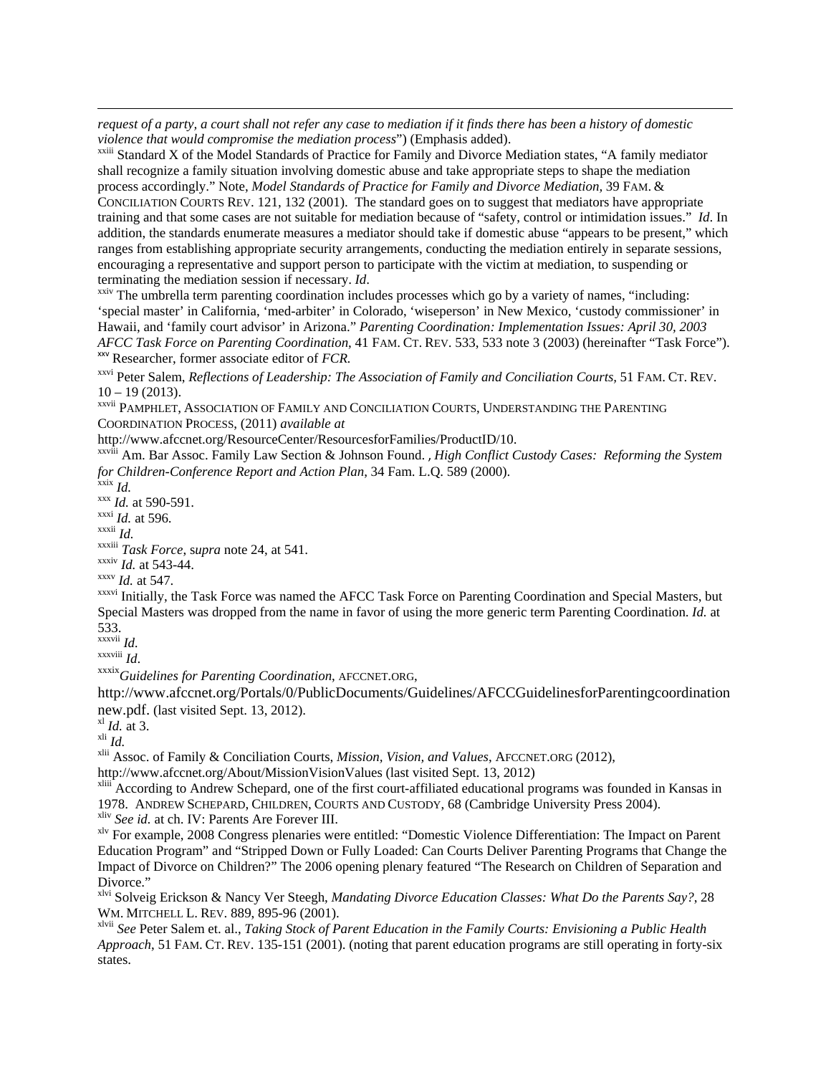*request of a party, a court shall not refer any case to mediation if it finds there has been a history of domestic violence that would compromise the mediation process*") (Emphasis added).<br><sup>xxiii</sup> Standard X of the Model Standards of Practice for Family and Divorce Mediation states, "A family mediator

shall recognize a family situation involving domestic abuse and take appropriate steps to shape the mediation process accordingly." Note, *Model Standards of Practice for Family and Divorce Mediation,* 39 FAM. & CONCILIATION COURTS REV. 121, 132 (2001). The standard goes on to suggest that mediators have appropriate training and that some cases are not suitable for mediation because of "safety, control or intimidation issues." *Id*. In addition, the standards enumerate measures a mediator should take if domestic abuse "appears to be present," which ranges from establishing appropriate security arrangements, conducting the mediation entirely in separate sessions, encouraging a representative and support person to participate with the victim at mediation, to suspending or terminating the mediation session if necessary. *Id*.

<u> 1989 - Johann Stoff, amerikansk politiker (d. 1989)</u>

<sup>xxiv</sup> The umbrella term parenting coordination includes processes which go by a variety of names, "including: 'special master' in California, 'med-arbiter' in Colorado, 'wiseperson' in New Mexico, 'custody commissioner' in Hawaii, and 'family court advisor' in Arizona." *Parenting Coordination: Implementation Issues: April 30, 2003 AFCC Task Force on Parenting Coordination*, 41 FAM. CT. REV. 533, 533 note 3 (2003) (hereinafter "Task Force"). xxv Researcher, former associate editor of *FCR.* 

<sup>xxvi</sup> Peter Salem, *Reflections of Leadership: The Association of Family and Conciliation Courts*, 51 FAM. CT. REV.  $10 - 19(2013)$ .

xxvii PAMPHLET, ASSOCIATION OF FAMILY AND CONCILIATION COURTS, UNDERSTANDING THE PARENTING COORDINATION PROCESS, (2011) *available at*

http://www.afccnet.org/ResourceCenter/ResourcesforFamilies/ProductID/10.

xxviii Am. Bar Assoc. Family Law Section & Johnson Found. , *High Conflict Custody Cases: Reforming the System for Children-Conference Report and Action Plan*, 34 Fam. L.Q. 589 (2000).<br><sup>xxx</sup> *Id.* at 590-591.<br><sup>xxxi</sup> *Id.* at 596. <sup>xxxii</sup> *Id.* xxi<sup>i</sup> *Id.* xxiii *Task Force*, *supra* note 24, at 541.

xxxiv *Id.* at 543-44. xxxv *Id.* at 547.

xxxvi Initially, the Task Force was named the AFCC Task Force on Parenting Coordination and Special Masters, but Special Masters was dropped from the name in favor of using the more generic term Parenting Coordination. *Id.* at 533.<br> $\frac{x}{1}$ 

xxxvii *Id.* xxxviii *Id*. xxxix*Guidelines for Parenting Coordination*, AFCCNET.ORG,

http://www.afccnet.org/Portals/0/PublicDocuments/Guidelines/AFCCGuidelinesforParentingcoordination new.pdf. (last visited Sept. 13, 2012).<br>
<sup>xl</sup> *Id.* at 3.<br>
<sup>xli</sup> *Id.*<br>
<sup>xlii</sup> Assoc. of Family & Conciliation Courts, *Mission, Vision, and Values*, AFCCNET.ORG (2012),

http://www.afccnet.org/About/MissionVisionValues (last visited Sept. 13, 2012)

xliii According to Andrew Schepard, one of the first court-affiliated educational programs was founded in Kansas in 1978. ANDREW SCHEPARD, CHILDREN, COURTS AND CUSTODY, 68 (Cambridge University Press 2004). xliv *See id.* at ch. IV: Parents Are Forever III.

xlv For example, 2008 Congress plenaries were entitled: "Domestic Violence Differentiation: The Impact on Parent Education Program" and "Stripped Down or Fully Loaded: Can Courts Deliver Parenting Programs that Change the Impact of Divorce on Children?" The 2006 opening plenary featured "The Research on Children of Separation and Divorce."

xlvi Solveig Erickson & Nancy Ver Steegh, *Mandating Divorce Education Classes: What Do the Parents Say?*, 28 WM. MITCHELL L. REV. 889, 895-96 (2001).

xlvii *See* Peter Salem et. al., *Taking Stock of Parent Education in the Family Courts: Envisioning a Public Health Approach*, 51 FAM. CT. REV. 135-151 (2001). (noting that parent education programs are still operating in forty-six states.